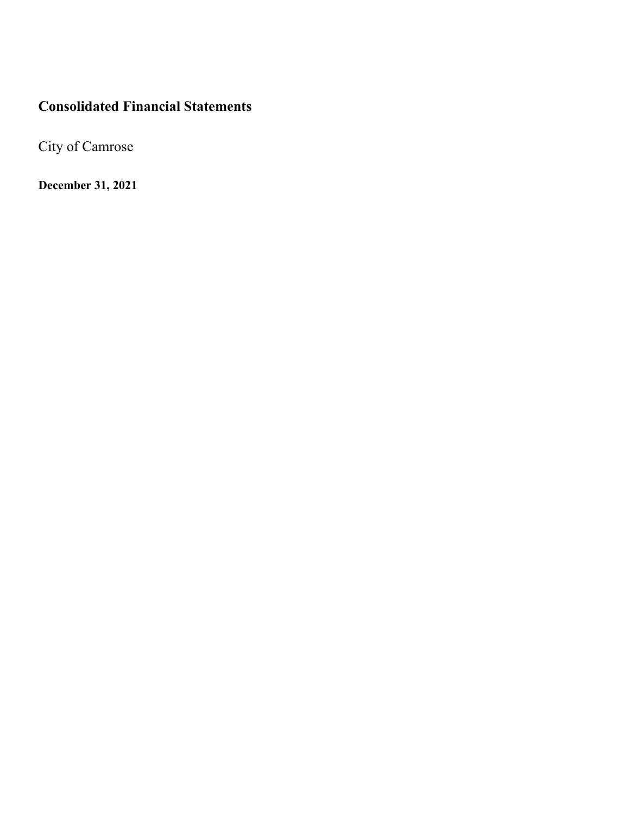# Consolidated Financial Statements

City of Camrose

December 31, 2021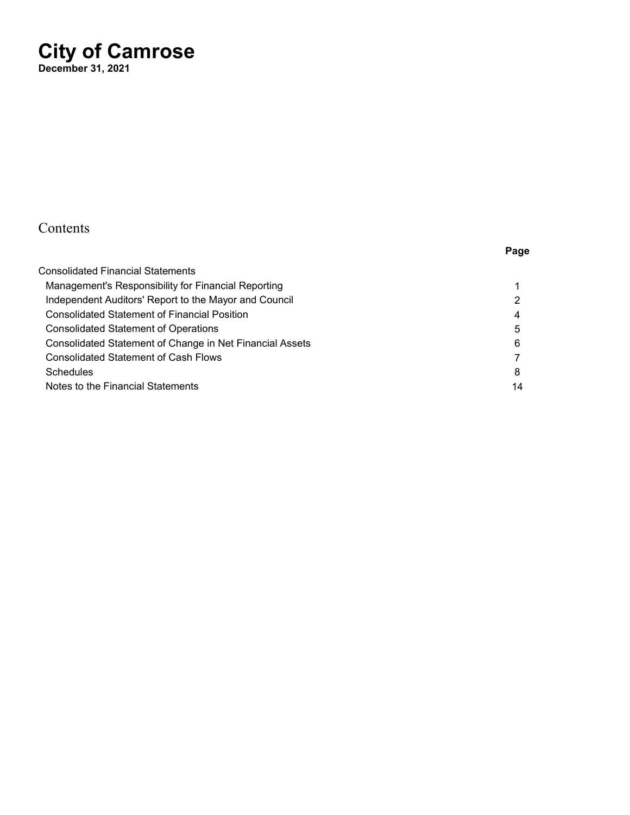December 31, 2021

### Contents

|                                                          | Page |
|----------------------------------------------------------|------|
| Consolidated Financial Statements                        |      |
| Management's Responsibility for Financial Reporting      |      |
| Independent Auditors' Report to the Mayor and Council    |      |
| <b>Consolidated Statement of Financial Position</b>      | 4    |
| <b>Consolidated Statement of Operations</b>              | 5    |
| Consolidated Statement of Change in Net Financial Assets | 6    |
| Consolidated Statement of Cash Flows                     |      |
| Schedules                                                | 8    |
| Notes to the Financial Statements                        | 14   |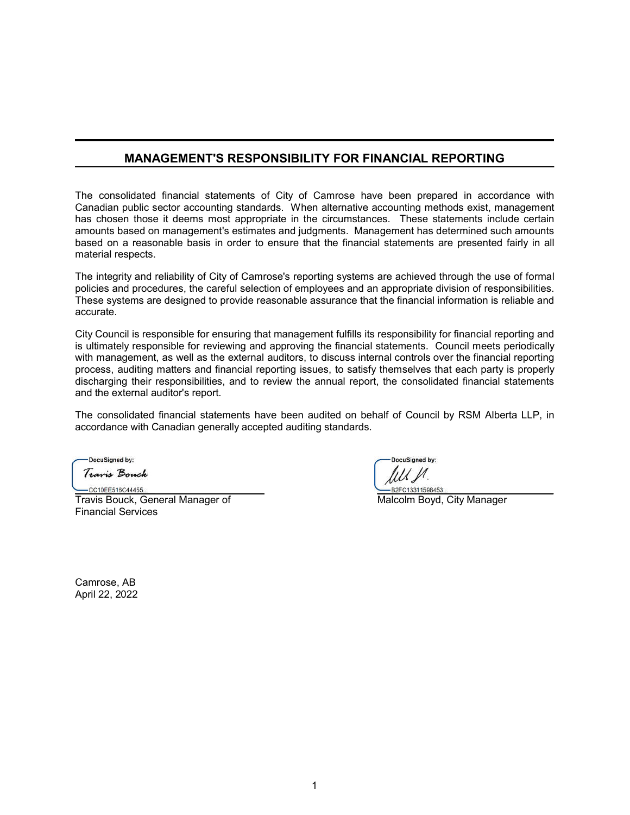#### MANAGEMENT'S RESPONSIBILITY FOR FINANCIAL REPORTING

The consolidated financial statements of City of Camrose have been prepared in accordance with Canadian public sector accounting standards. When alternative accounting methods exist, management has chosen those it deems most appropriate in the circumstances. These statements include certain amounts based on management's estimates and judgments. Management has determined such amounts based on a reasonable basis in order to ensure that the financial statements are presented fairly in all material respects.

The integrity and reliability of City of Camrose's reporting systems are achieved through the use of formal policies and procedures, the careful selection of employees and an appropriate division of responsibilities. These systems are designed to provide reasonable assurance that the financial information is reliable and accurate.

City Council is responsible for ensuring that management fulfills its responsibility for financial reporting and is ultimately responsible for reviewing and approving the financial statements. Council meets periodically with management, as well as the external auditors, to discuss internal controls over the financial reporting process, auditing matters and financial reporting issues, to satisfy themselves that each party is properly discharging their responsibilities, and to review the annual report, the consolidated financial statements and the external auditor's report.

The consolidated financial statements have been audited on behalf of Council by RSM Alberta LLP, in accordance with Canadian generally accepted auditing standards.

DocuSigned by: Travis Bouck

-CC10EE516C44455. Travis Bouck, General Manager of Financial Services

**DocuSigned by:** B2FC13311598453.

Malcolm Boyd, City Manager

Camrose, AB April 22, 2022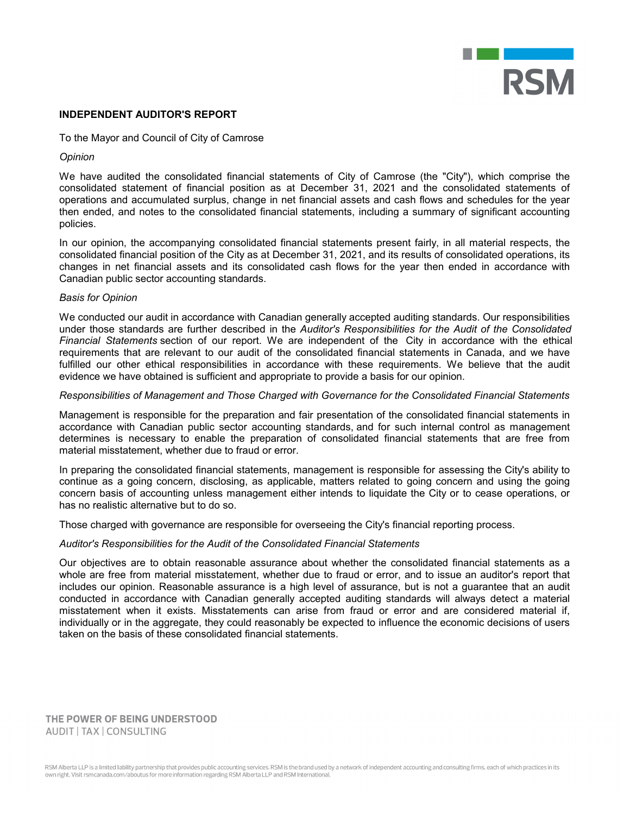

#### **INDEPENDENT AUDITOR'S REPORT**

To the Mayor and Council of City of Camrose

#### *Opinion*

We have audited the consolidated financial statements of City of Camrose (the "City"), which comprise the consolidated statement of financial position as at December 31, 2021 and the consolidated statements of operations and accumulated surplus, change in net financial assets and cash flows and schedules for the year then ended, and notes to the consolidated financial statements, including a summary of significant accounting policies.

In our opinion, the accompanying consolidated financial statements present fairly, in all material respects, the consolidated financial position of the City as at December 31, 2021, and its results of consolidated operations, its changes in net financial assets and its consolidated cash flows for the year then ended in accordance with Canadian public sector accounting standards.

#### *Basis for Opinion*

We conducted our audit in accordance with Canadian generally accepted auditing standards. Our responsibilities under those standards are further described in the *Auditor's Responsibilities for the Audit of the Consolidated Financial Statements* section of our report. We are independent of the City in accordance with the ethical requirements that are relevant to our audit of the consolidated financial statements in Canada, and we have fulfilled our other ethical responsibilities in accordance with these requirements. We believe that the audit evidence we have obtained is sufficient and appropriate to provide a basis for our opinion.

#### *Responsibilities of Management and Those Charged with Governance for the Consolidated Financial Statements*

Management is responsible for the preparation and fair presentation of the consolidated financial statements in accordance with Canadian public sector accounting standards, and for such internal control as management determines is necessary to enable the preparation of consolidated financial statements that are free from material misstatement, whether due to fraud or error.

In preparing the consolidated financial statements, management is responsible for assessing the City's ability to continue as a going concern, disclosing, as applicable, matters related to going concern and using the going concern basis of accounting unless management either intends to liquidate the City or to cease operations, or has no realistic alternative but to do so.

Those charged with governance are responsible for overseeing the City's financial reporting process.

#### *Auditor's Responsibilities for the Audit of the Consolidated Financial Statements*

Our objectives are to obtain reasonable assurance about whether the consolidated financial statements as a whole are free from material misstatement, whether due to fraud or error, and to issue an auditor's report that includes our opinion. Reasonable assurance is a high level of assurance, but is not a guarantee that an audit conducted in accordance with Canadian generally accepted auditing standards will always detect a material misstatement when it exists. Misstatements can arise from fraud or error and are considered material if, individually or in the aggregate, they could reasonably be expected to influence the economic decisions of users taken on the basis of these consolidated financial statements.

THE POWER OF BEING UNDERSTOOD **AUDIT | TAX | CONSULTING**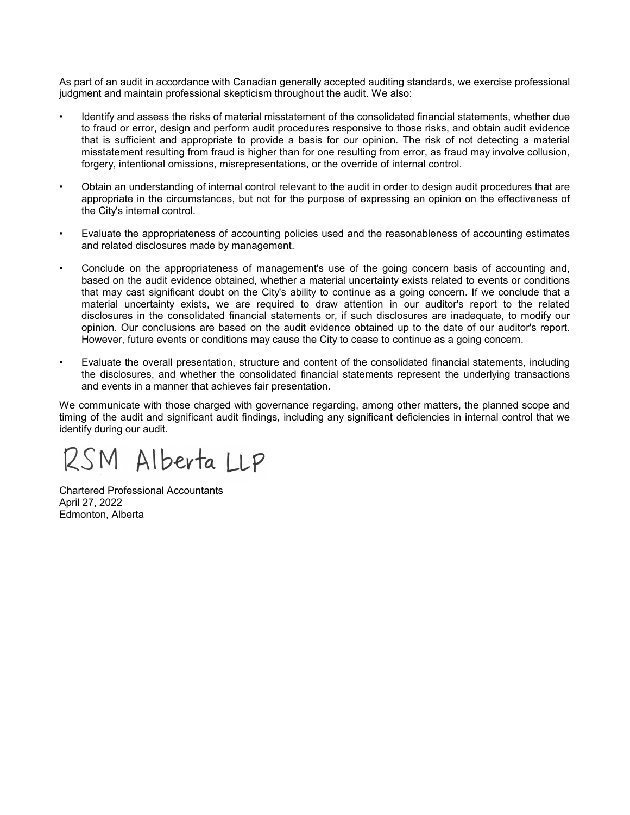As part of an audit in accordance with Canadian generally accepted auditing standards, we exercise professional judgment and maintain professional skepticism throughout the audit. We also:

- Identify and assess the risks of material misstatement of the consolidated financial statements, whether due to fraud or error, design and perform audit procedures responsive to those risks, and obtain audit evidence that is sufficient and appropriate to provide a basis for our opinion. The risk of not detecting a material misstatement resulting from fraud is higher than for one resulting from error, as fraud may involve collusion, forgery, intentional omissions, misrepresentations, or the override of internal control.
- Obtain an understanding of internal control relevant to the audit in order to design audit procedures that are appropriate in the circumstances, but not for the purpose of expressing an opinion on the effectiveness of the City's internal control.
- Evaluate the appropriateness of accounting policies used and the reasonableness of accounting estimates and related disclosures made by management.
- Conclude on the appropriateness of management's use of the going concern basis of accounting and, based on the audit evidence obtained, whether a material uncertainty exists related to events or conditions that may cast significant doubt on the City's ability to continue as a going concern. If we conclude that a material uncertainty exists, we are required to draw attention in our auditor's report to the related disclosures in the consolidated financial statements or, if such disclosures are inadequate, to modify our opinion. Our conclusions are based on the audit evidence obtained up to the date of our auditor's report. However, future events or conditions may cause the City to cease to continue as a going concern.
- Evaluate the overall presentation, structure and content of the consolidated financial statements, including the disclosures, and whether the consolidated financial statements represent the underlying transactions and events in a manner that achieves fair presentation.

We communicate with those charged with governance regarding, among other matters, the planned scope and timing of the audit and significant audit findings, including any significant deficiencies in internal control that we identify during our audit.

RSM Alberta LLP

Chartered Professional Accountants April 27, 2022 Edmonton, Alberta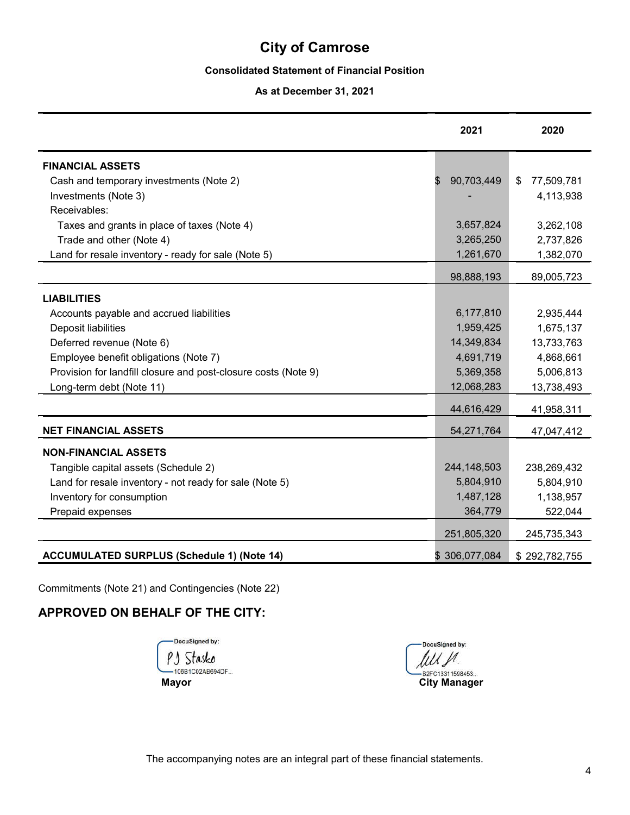#### Consolidated Statement of Financial Position

#### As at December 31, 2021

|                                                                | 2021          | 2020             |
|----------------------------------------------------------------|---------------|------------------|
| <b>FINANCIAL ASSETS</b>                                        |               |                  |
| Cash and temporary investments (Note 2)                        | 90,703,449    | 77,509,781<br>\$ |
| Investments (Note 3)                                           |               | 4,113,938        |
| Receivables:                                                   |               |                  |
| Taxes and grants in place of taxes (Note 4)                    | 3,657,824     | 3,262,108        |
| Trade and other (Note 4)                                       | 3,265,250     | 2,737,826        |
| Land for resale inventory - ready for sale (Note 5)            | 1,261,670     | 1,382,070        |
|                                                                | 98,888,193    | 89,005,723       |
| <b>LIABILITIES</b>                                             |               |                  |
| Accounts payable and accrued liabilities                       | 6,177,810     | 2,935,444        |
| Deposit liabilities                                            | 1,959,425     | 1,675,137        |
| Deferred revenue (Note 6)                                      | 14,349,834    | 13,733,763       |
| Employee benefit obligations (Note 7)                          | 4,691,719     | 4,868,661        |
| Provision for landfill closure and post-closure costs (Note 9) | 5,369,358     | 5,006,813        |
| Long-term debt (Note 11)                                       | 12,068,283    | 13,738,493       |
|                                                                | 44,616,429    | 41,958,311       |
| <b>NET FINANCIAL ASSETS</b>                                    | 54,271,764    | 47,047,412       |
| <b>NON-FINANCIAL ASSETS</b>                                    |               |                  |
| Tangible capital assets (Schedule 2)                           | 244,148,503   | 238,269,432      |
| Land for resale inventory - not ready for sale (Note 5)        | 5,804,910     | 5,804,910        |
| Inventory for consumption                                      | 1,487,128     | 1,138,957        |
| Prepaid expenses                                               | 364,779       | 522,044          |
|                                                                | 251,805,320   | 245,735,343      |
| <b>ACCUMULATED SURPLUS (Schedule 1) (Note 14)</b>              | \$306,077,084 | \$292,782,755    |

Commitments (Note 21) and Contingencies (Note 22)

### APPROVED ON BEHALF OF THE CITY:

DocuSigned by: PJ Stasko -106B1C02AB694DF... Mayor **Mayor** City Manager

DocuSigned by: МЛ. Н. -<br>B2FC13311598453...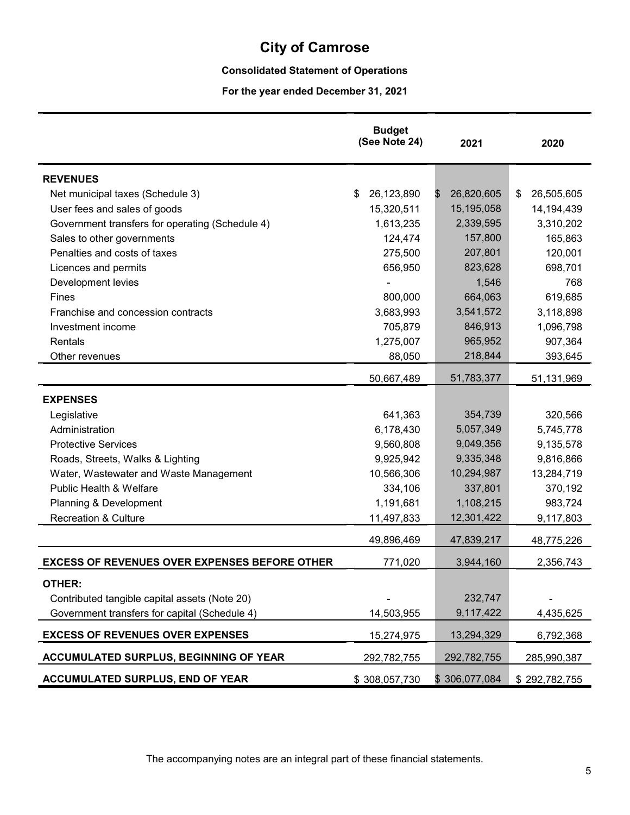### Consolidated Statement of Operations

|                                                      | <b>Budget</b><br>(See Note 24) | 2021             | 2020             |
|------------------------------------------------------|--------------------------------|------------------|------------------|
| <b>REVENUES</b>                                      |                                |                  |                  |
| Net municipal taxes (Schedule 3)                     | 26,123,890<br>\$               | 26,820,605<br>\$ | 26,505,605<br>\$ |
| User fees and sales of goods                         | 15,320,511                     | 15,195,058       | 14, 194, 439     |
| Government transfers for operating (Schedule 4)      | 1,613,235                      | 2,339,595        | 3,310,202        |
| Sales to other governments                           | 124,474                        | 157,800          | 165,863          |
| Penalties and costs of taxes                         | 275,500                        | 207,801          | 120,001          |
| Licences and permits                                 | 656,950                        | 823,628          | 698,701          |
| Development levies                                   |                                | 1,546            | 768              |
| Fines                                                | 800,000                        | 664,063          | 619,685          |
| Franchise and concession contracts                   | 3,683,993                      | 3,541,572        | 3,118,898        |
| Investment income                                    | 705,879                        | 846,913          | 1,096,798        |
| Rentals                                              | 1,275,007                      | 965,952          | 907,364          |
| Other revenues                                       | 88,050                         | 218,844          | 393,645          |
|                                                      | 50,667,489                     | 51,783,377       | 51,131,969       |
| <b>EXPENSES</b>                                      |                                |                  |                  |
| Legislative                                          | 641,363                        | 354,739          | 320,566          |
| Administration                                       | 6,178,430                      | 5,057,349        | 5,745,778        |
| <b>Protective Services</b>                           | 9,560,808                      | 9,049,356        | 9,135,578        |
| Roads, Streets, Walks & Lighting                     | 9,925,942                      | 9,335,348        | 9,816,866        |
| Water, Wastewater and Waste Management               | 10,566,306                     | 10,294,987       | 13,284,719       |
| Public Health & Welfare                              | 334,106                        | 337,801          | 370,192          |
| Planning & Development                               | 1,191,681                      | 1,108,215        | 983,724          |
| <b>Recreation &amp; Culture</b>                      | 11,497,833                     | 12,301,422       | 9,117,803        |
|                                                      | 49,896,469                     | 47,839,217       | 48,775,226       |
| <b>EXCESS OF REVENUES OVER EXPENSES BEFORE OTHER</b> | 771,020                        | 3,944,160        | 2,356,743        |
| <b>OTHER:</b>                                        |                                |                  |                  |
| Contributed tangible capital assets (Note 20)        |                                | 232,747          |                  |
| Government transfers for capital (Schedule 4)        | 14,503,955                     | 9,117,422        | 4,435,625        |
| <b>EXCESS OF REVENUES OVER EXPENSES</b>              | 15,274,975                     | 13,294,329       | 6,792,368        |
| ACCUMULATED SURPLUS, BEGINNING OF YEAR               | 292,782,755                    | 292,782,755      | 285,990,387      |
| <b>ACCUMULATED SURPLUS, END OF YEAR</b>              | \$308,057,730                  | \$306,077,084    | \$292,782,755    |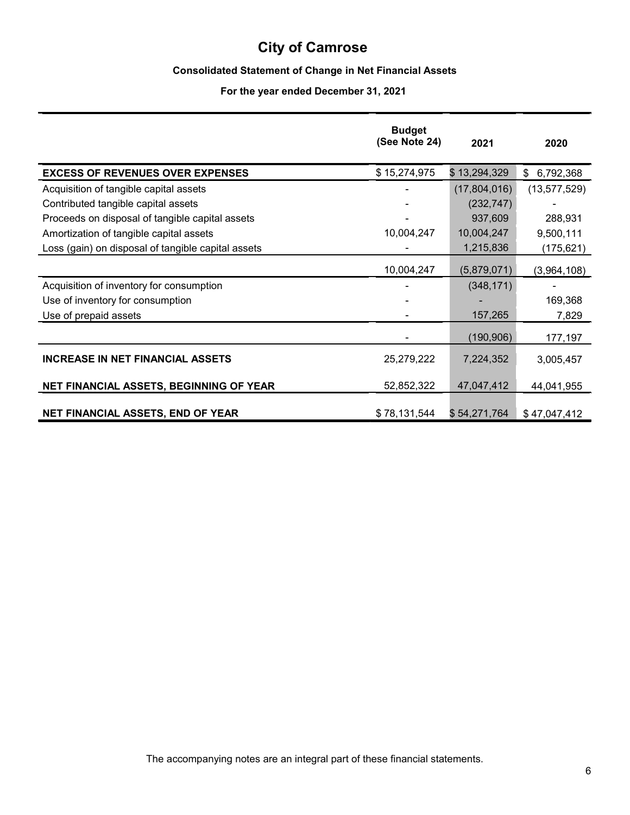### Consolidated Statement of Change in Net Financial Assets

|                                                    | <b>Budget</b><br>(See Note 24) | 2021         | 2020            |
|----------------------------------------------------|--------------------------------|--------------|-----------------|
| <b>EXCESS OF REVENUES OVER EXPENSES</b>            | \$15,274,975                   | \$13,294,329 | 6,792,368<br>\$ |
| Acquisition of tangible capital assets             |                                | (17,804,016) | (13, 577, 529)  |
| Contributed tangible capital assets                |                                | (232, 747)   |                 |
| Proceeds on disposal of tangible capital assets    |                                | 937,609      | 288,931         |
| Amortization of tangible capital assets            | 10,004,247                     | 10,004,247   | 9,500,111       |
| Loss (gain) on disposal of tangible capital assets |                                | 1,215,836    | (175,621)       |
|                                                    | 10,004,247                     | (5,879,071)  | (3,964,108)     |
| Acquisition of inventory for consumption           |                                | (348, 171)   |                 |
| Use of inventory for consumption                   |                                |              | 169,368         |
| Use of prepaid assets                              |                                | 157,265      | 7,829           |
|                                                    |                                | (190, 906)   | 177,197         |
| <b>INCREASE IN NET FINANCIAL ASSETS</b>            | 25,279,222                     | 7,224,352    | 3,005,457       |
| NET FINANCIAL ASSETS, BEGINNING OF YEAR            | 52,852,322                     | 47,047,412   | 44,041,955      |
| NET FINANCIAL ASSETS, END OF YEAR                  | \$78,131,544                   | \$54,271,764 | \$47,047,412    |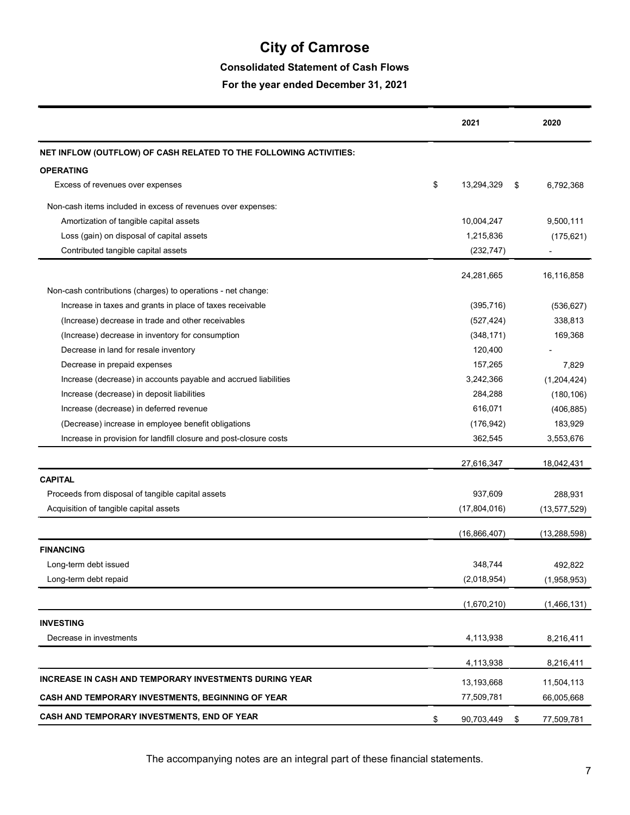#### Consolidated Statement of Cash Flows

For the year ended December 31, 2021

|                                                                                                                                                                                                                                                                                                                                                                                                                   |    | 2021             | 2020           |
|-------------------------------------------------------------------------------------------------------------------------------------------------------------------------------------------------------------------------------------------------------------------------------------------------------------------------------------------------------------------------------------------------------------------|----|------------------|----------------|
| NET INFLOW (OUTFLOW) OF CASH RELATED TO THE FOLLOWING ACTIVITIES:                                                                                                                                                                                                                                                                                                                                                 |    |                  |                |
| <b>OPERATING</b>                                                                                                                                                                                                                                                                                                                                                                                                  |    |                  |                |
| Excess of revenues over expenses                                                                                                                                                                                                                                                                                                                                                                                  | \$ | 13,294,329<br>\$ | 6,792,368      |
| Non-cash items included in excess of revenues over expenses:                                                                                                                                                                                                                                                                                                                                                      |    |                  |                |
| Amortization of tangible capital assets                                                                                                                                                                                                                                                                                                                                                                           |    | 10,004,247       | 9,500,111      |
| Loss (gain) on disposal of capital assets                                                                                                                                                                                                                                                                                                                                                                         |    | 1,215,836        | (175, 621)     |
| Contributed tangible capital assets                                                                                                                                                                                                                                                                                                                                                                               |    | (232, 747)       |                |
|                                                                                                                                                                                                                                                                                                                                                                                                                   |    | 24,281,665       | 16,116,858     |
| Non-cash contributions (charges) to operations - net change:                                                                                                                                                                                                                                                                                                                                                      |    |                  |                |
| Increase in taxes and grants in place of taxes receivable                                                                                                                                                                                                                                                                                                                                                         |    | (395, 716)       | (536, 627)     |
| (Increase) decrease in trade and other receivables                                                                                                                                                                                                                                                                                                                                                                |    | (527, 424)       | 338,813        |
| (Increase) decrease in inventory for consumption<br>Decrease in land for resale inventory<br>Decrease in prepaid expenses<br>Increase (decrease) in accounts payable and accrued liabilities<br>Increase (decrease) in deposit liabilities<br>Increase (decrease) in deferred revenue<br>(Decrease) increase in employee benefit obligations<br>Increase in provision for landfill closure and post-closure costs |    | (348, 171)       | 169,368        |
|                                                                                                                                                                                                                                                                                                                                                                                                                   |    | 120,400          |                |
|                                                                                                                                                                                                                                                                                                                                                                                                                   |    | 157,265          | 7,829          |
|                                                                                                                                                                                                                                                                                                                                                                                                                   |    | 3,242,366        | (1,204,424)    |
|                                                                                                                                                                                                                                                                                                                                                                                                                   |    | 284,288          | (180, 106)     |
|                                                                                                                                                                                                                                                                                                                                                                                                                   |    | 616,071          | (406, 885)     |
|                                                                                                                                                                                                                                                                                                                                                                                                                   |    | (176, 942)       | 183,929        |
|                                                                                                                                                                                                                                                                                                                                                                                                                   |    | 362,545          | 3,553,676      |
|                                                                                                                                                                                                                                                                                                                                                                                                                   |    | 27,616,347       | 18,042,431     |
| <b>CAPITAL</b>                                                                                                                                                                                                                                                                                                                                                                                                    |    |                  |                |
| Proceeds from disposal of tangible capital assets                                                                                                                                                                                                                                                                                                                                                                 |    | 937,609          | 288,931        |
| Acquisition of tangible capital assets                                                                                                                                                                                                                                                                                                                                                                            |    | (17,804,016)     | (13, 577, 529) |
|                                                                                                                                                                                                                                                                                                                                                                                                                   |    | (16, 866, 407)   | (13, 288, 598) |
| <b>FINANCING</b>                                                                                                                                                                                                                                                                                                                                                                                                  |    |                  |                |
| Long-term debt issued                                                                                                                                                                                                                                                                                                                                                                                             |    | 348,744          | 492,822        |
| Long-term debt repaid                                                                                                                                                                                                                                                                                                                                                                                             |    | (2,018,954)      | (1,958,953)    |
|                                                                                                                                                                                                                                                                                                                                                                                                                   |    | (1,670,210)      | (1,466,131)    |
| <b>INVESTING</b>                                                                                                                                                                                                                                                                                                                                                                                                  |    |                  |                |
| Decrease in investments                                                                                                                                                                                                                                                                                                                                                                                           |    | 4,113,938        | 8,216,411      |
|                                                                                                                                                                                                                                                                                                                                                                                                                   |    | 4,113,938        | 8,216,411      |
| <b>INCREASE IN CASH AND TEMPORARY INVESTMENTS DURING YEAR</b>                                                                                                                                                                                                                                                                                                                                                     |    | 13,193,668       | 11,504,113     |
| CASH AND TEMPORARY INVESTMENTS, BEGINNING OF YEAR                                                                                                                                                                                                                                                                                                                                                                 |    | 77,509,781       | 66,005,668     |
| CASH AND TEMPORARY INVESTMENTS, END OF YEAR                                                                                                                                                                                                                                                                                                                                                                       | \$ | 90,703,449<br>\$ | 77,509,781     |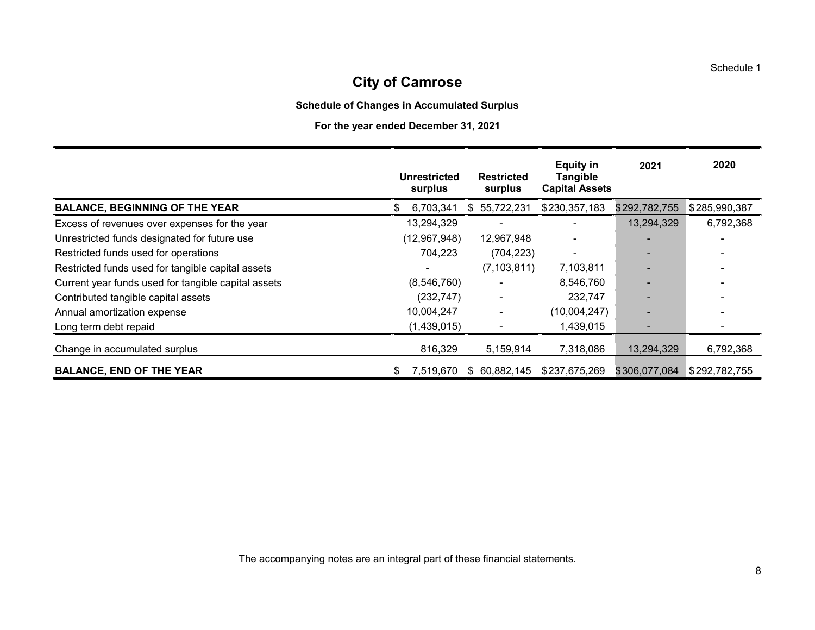Schedule of Changes in Accumulated Surplus

#### For the year ended December 31, 2021

|                                                     | Unrestricted<br>surplus | <b>Restricted</b><br>surplus | <b>Equity in</b><br><b>Tangible</b><br><b>Capital Assets</b> | 2021          | 2020          |
|-----------------------------------------------------|-------------------------|------------------------------|--------------------------------------------------------------|---------------|---------------|
| <b>BALANCE, BEGINNING OF THE YEAR</b>               | 6,703,341<br>S.         | 55,722,231<br>\$             | \$230,357,183                                                | \$292,782,755 | \$285,990,387 |
| Excess of revenues over expenses for the year       | 13,294,329              |                              |                                                              | 13,294,329    | 6,792,368     |
| Unrestricted funds designated for future use        | (12,967,948)            | 12,967,948                   |                                                              |               |               |
| Restricted funds used for operations                | 704,223                 | (704, 223)                   |                                                              |               |               |
| Restricted funds used for tangible capital assets   |                         | (7, 103, 811)                | 7,103,811                                                    |               |               |
| Current year funds used for tangible capital assets | (8,546,760)             |                              | 8,546,760                                                    |               |               |
| Contributed tangible capital assets                 | (232, 747)              | $\overline{\phantom{a}}$     | 232,747                                                      |               |               |
| Annual amortization expense                         | 10,004,247              | $\blacksquare$               | (10,004,247)                                                 | -             |               |
| Long term debt repaid                               | (1,439,015)             |                              | 1,439,015                                                    |               |               |
| Change in accumulated surplus                       | 816,329                 | 5,159,914                    | 7,318,086                                                    | 13,294,329    | 6,792,368     |
| <b>BALANCE, END OF THE YEAR</b>                     | \$<br>7,519,670         | \$ 60,882,145                | \$237,675,269                                                | \$306,077,084 | \$292,782,755 |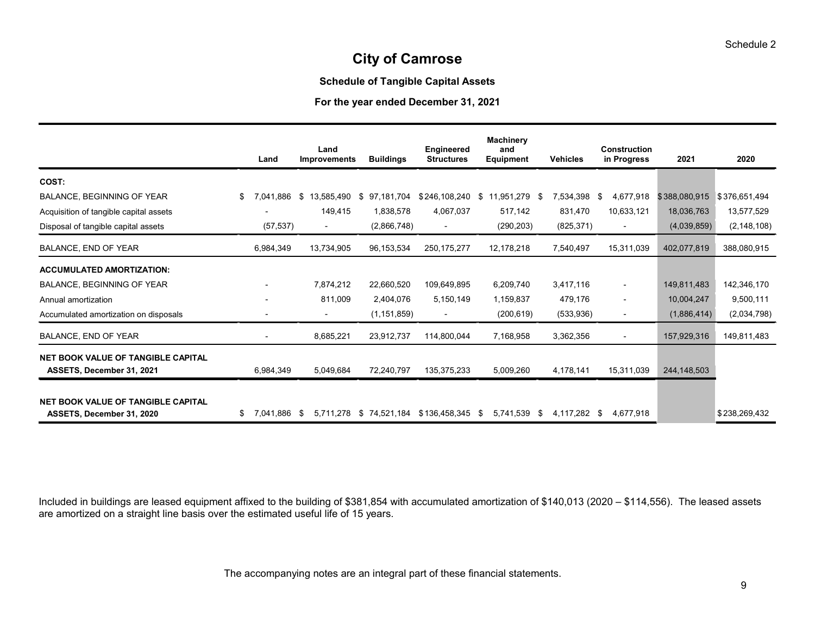#### Schedule of Tangible Capital Assets

#### For the year ended December 31, 2021

|                                                                        | Land                     | Land<br><b>Improvements</b> | <b>Buildings</b> | Engineered<br><b>Structures</b> | <b>Machinery</b><br>and<br>Equipment | <b>Vehicles</b> | <b>Construction</b><br>in Progress | 2021          | 2020          |
|------------------------------------------------------------------------|--------------------------|-----------------------------|------------------|---------------------------------|--------------------------------------|-----------------|------------------------------------|---------------|---------------|
| COST:                                                                  |                          |                             |                  |                                 |                                      |                 |                                    |               |               |
| BALANCE, BEGINNING OF YEAR                                             | \$<br>041.886.           | 13,585,490<br>- \$          | 97.181.704<br>\$ | \$246,108,240                   | 11,951,279<br>\$<br>-\$              | 7,534,398       | 4,677,918<br>\$                    | \$388,080,915 | \$376,651,494 |
| Acquisition of tangible capital assets                                 |                          | 149,415                     | 1,838,578        | 4,067,037                       | 517,142                              | 831,470         | 10,633,121                         | 18,036,763    | 13,577,529    |
| Disposal of tangible capital assets                                    | (57, 537)                | $\overline{\phantom{a}}$    | (2,866,748)      | $\overline{\phantom{a}}$        | (290, 203)                           | (825, 371)      |                                    | (4,039,859)   | (2, 148, 108) |
| BALANCE, END OF YEAR                                                   | 6,984,349                | 13,734,905                  | 96,153,534       | 250, 175, 277                   | 12,178,218                           | 7.540.497       | 15,311,039                         | 402,077,819   | 388,080,915   |
| <b>ACCUMULATED AMORTIZATION:</b>                                       |                          |                             |                  |                                 |                                      |                 |                                    |               |               |
| <b>BALANCE, BEGINNING OF YEAR</b>                                      | $\overline{\phantom{a}}$ | 7,874,212                   | 22,660,520       | 109,649,895                     | 6,209,740                            | 3,417,116       | $\overline{\phantom{a}}$           | 149,811,483   | 142,346,170   |
| Annual amortization                                                    |                          | 811,009                     | 2,404,076        | 5,150,149                       | 1,159,837                            | 479,176         | $\overline{\phantom{a}}$           | 10,004,247    | 9,500,111     |
| Accumulated amortization on disposals                                  |                          | $\overline{\phantom{a}}$    | (1, 151, 859)    | $\overline{\phantom{a}}$        | (200, 619)                           | (533,936)       | $\overline{\phantom{a}}$           | (1,886,414)   | (2,034,798)   |
| <b>BALANCE, END OF YEAR</b>                                            |                          | 8,685,221                   | 23,912,737       | 114,800,044                     | 7,168,958                            | 3,362,356       |                                    | 157,929,316   | 149,811,483   |
| <b>NET BOOK VALUE OF TANGIBLE CAPITAL</b><br>ASSETS, December 31, 2021 | 6,984,349                | 5,049,684                   | 72,240,797       | 135,375,233                     | 5,009,260                            | 4,178,141       | 15,311,039                         | 244,148,503   |               |
| <b>NET BOOK VALUE OF TANGIBLE CAPITAL</b><br>ASSETS, December 31, 2020 | \$<br>7.041.886          | 5.711.278<br>- \$           | \$74,521,184     | \$136,458,345                   | 5,741,539<br>\$<br>- \$              | 4,117,282       | - \$<br>4,677,918                  |               | \$238,269,432 |

Included in buildings are leased equipment affixed to the building of \$381,854 with accumulated amortization of \$140,013 (2020 – \$114,556). The leased assets are amortized on a straight line basis over the estimated useful life of 15 years.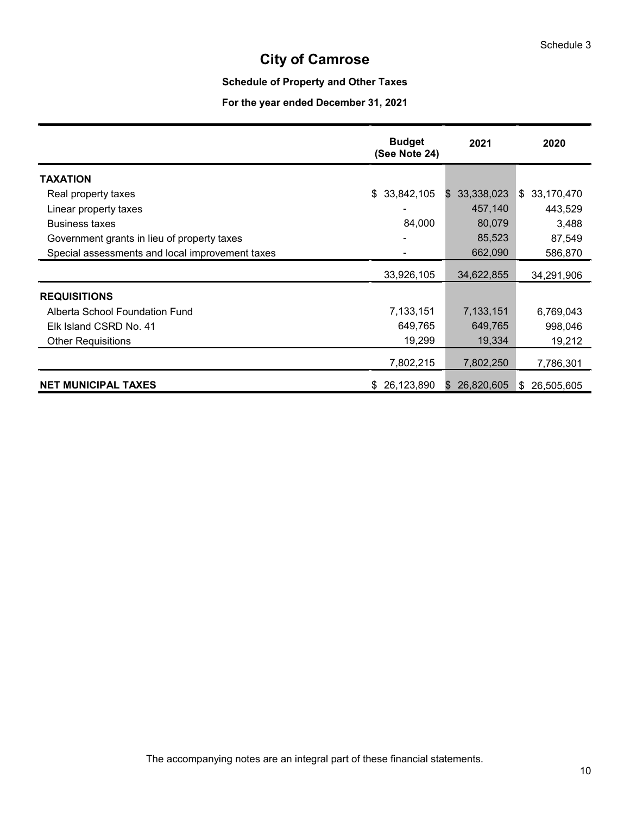### Schedule of Property and Other Taxes

|                                                 | <b>Budget</b><br>(See Note 24) | 2021             | 2020             |
|-------------------------------------------------|--------------------------------|------------------|------------------|
| <b>TAXATION</b>                                 |                                |                  |                  |
| Real property taxes                             | \$<br>33,842,105               | 33,338,023<br>\$ | \$33,170,470     |
| Linear property taxes                           |                                | 457,140          | 443,529          |
| <b>Business taxes</b>                           | 84,000                         | 80,079           | 3,488            |
| Government grants in lieu of property taxes     |                                | 85,523           | 87,549           |
| Special assessments and local improvement taxes |                                | 662,090          | 586,870          |
|                                                 | 33,926,105                     | 34,622,855       | 34,291,906       |
| <b>REQUISITIONS</b>                             |                                |                  |                  |
| Alberta School Foundation Fund                  | 7,133,151                      | 7,133,151        | 6,769,043        |
| Elk Island CSRD No. 41                          | 649,765                        | 649,765          | 998,046          |
| <b>Other Requisitions</b>                       | 19,299                         | 19,334           | 19,212           |
|                                                 | 7,802,215                      | 7,802,250        | 7,786,301        |
| <b>NET MUNICIPAL TAXES</b>                      | \$ 26,123,890                  | 26,820,605<br>S  | 26,505,605<br>\$ |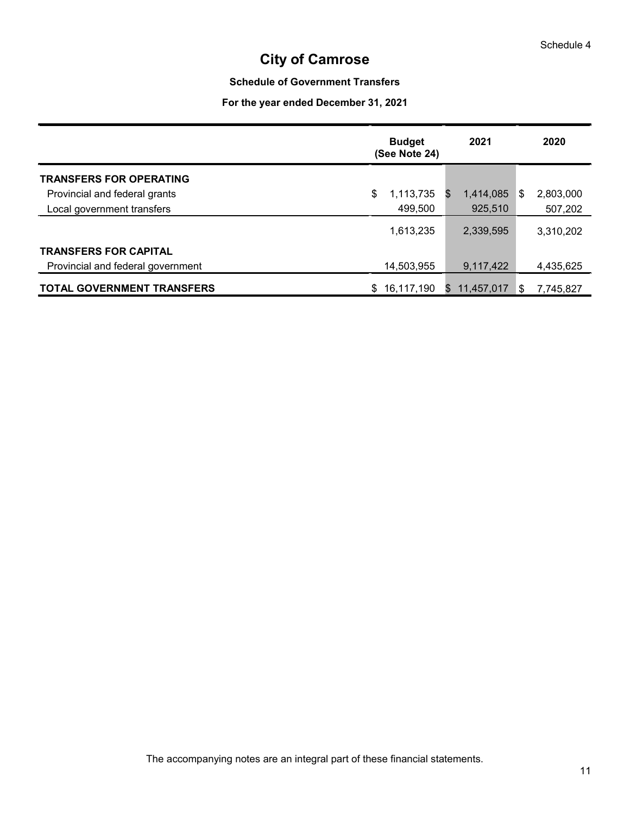### Schedule of Government Transfers

|                                   | <b>Budget</b><br>(See Note 24) | 2021            | 2020           |
|-----------------------------------|--------------------------------|-----------------|----------------|
| <b>TRANSFERS FOR OPERATING</b>    |                                |                 |                |
| Provincial and federal grants     | \$<br>1,113,735                | 1,414,085<br>\$ | 2,803,000<br>S |
| Local government transfers        | 499,500                        | 925,510         | 507,202        |
|                                   | 1,613,235                      | 2,339,595       | 3,310,202      |
| <b>TRANSFERS FOR CAPITAL</b>      |                                |                 |                |
| Provincial and federal government | 14,503,955                     | 9,117,422       | 4,435,625      |
| <b>TOTAL GOVERNMENT TRANSFERS</b> | 16,117,190<br>\$               | 11,457,017<br>S | 7,745,827<br>S |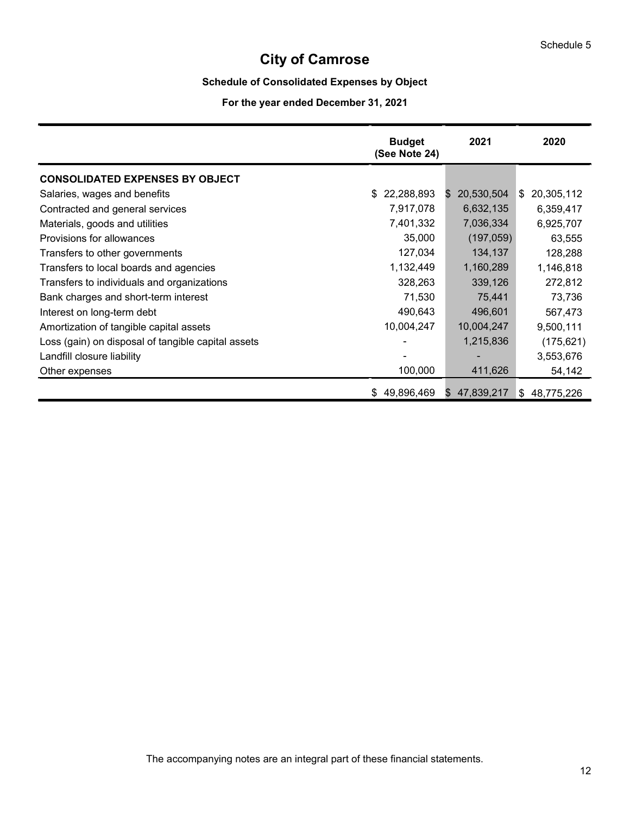### Schedule of Consolidated Expenses by Object

|                                                    | <b>Budget</b><br>(See Note 24) | 2021             | 2020             |
|----------------------------------------------------|--------------------------------|------------------|------------------|
| <b>CONSOLIDATED EXPENSES BY OBJECT</b>             |                                |                  |                  |
| Salaries, wages and benefits                       | 22,288,893<br>\$               | 20,530,504<br>S  | 20,305,112<br>\$ |
| Contracted and general services                    | 7,917,078                      | 6,632,135        | 6,359,417        |
| Materials, goods and utilities                     | 7,401,332                      | 7,036,334        | 6,925,707        |
| Provisions for allowances                          | 35,000                         | (197, 059)       | 63,555           |
| Transfers to other governments                     | 127,034                        | 134,137          | 128,288          |
| Transfers to local boards and agencies             | 1,132,449                      | 1,160,289        | 1,146,818        |
| Transfers to individuals and organizations         | 328,263                        | 339,126          | 272,812          |
| Bank charges and short-term interest               | 71,530                         | 75,441           | 73,736           |
| Interest on long-term debt                         | 490,643                        | 496,601          | 567,473          |
| Amortization of tangible capital assets            | 10,004,247                     | 10,004,247       | 9,500,111        |
| Loss (gain) on disposal of tangible capital assets |                                | 1,215,836        | (175, 621)       |
| Landfill closure liability                         |                                |                  | 3,553,676        |
| Other expenses                                     | 100,000                        | 411,626          | 54,142           |
|                                                    | \$49,896,469                   | 47,839,217<br>S. | \$48,775,226     |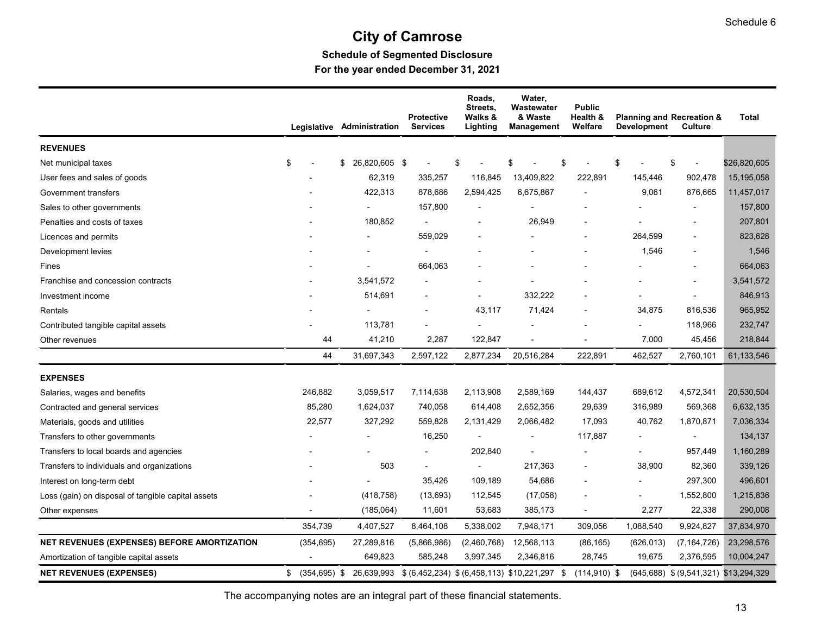Schedule of Segmented Disclosure

| For the year ended December 31, 2021 |  |
|--------------------------------------|--|
|--------------------------------------|--|

|                                                    |            | Legislative Administration | <b>Protective</b><br><b>Services</b> | Roads,<br>Streets,<br>Walks &<br>Lighting | Water,<br>Wastewater<br>& Waste<br><b>Management</b>    | <b>Public</b><br>Health &<br>Welfare | <b>Development</b> | <b>Planning and Recreation &amp;</b><br><b>Culture</b> | Total        |
|----------------------------------------------------|------------|----------------------------|--------------------------------------|-------------------------------------------|---------------------------------------------------------|--------------------------------------|--------------------|--------------------------------------------------------|--------------|
| <b>REVENUES</b>                                    |            |                            |                                      |                                           |                                                         |                                      |                    |                                                        |              |
| Net municipal taxes                                | \$         | $$26,820,605$ \$           |                                      | \$                                        | \$                                                      | \$                                   | \$                 | \$<br>$\blacksquare$                                   | \$26,820,605 |
| User fees and sales of goods                       |            | 62,319                     | 335,257                              | 116,845                                   | 13,409,822                                              | 222,891                              | 145,446            | 902,478                                                | 15,195,058   |
| Government transfers                               |            | 422,313                    | 878,686                              | 2,594,425                                 | 6,675,867                                               | $\blacksquare$                       | 9,061              | 876,665                                                | 11,457,017   |
| Sales to other governments                         |            |                            | 157,800                              |                                           |                                                         |                                      |                    |                                                        | 157,800      |
| Penalties and costs of taxes                       |            | 180,852                    |                                      |                                           | 26,949                                                  |                                      |                    | $\overline{\phantom{a}}$                               | 207,801      |
| Licences and permits                               |            |                            | 559,029                              |                                           |                                                         |                                      | 264,599            |                                                        | 823,628      |
| Development levies                                 |            |                            |                                      |                                           |                                                         |                                      | 1,546              | $\overline{\phantom{a}}$                               | 1,546        |
| Fines                                              |            |                            | 664,063                              |                                           |                                                         |                                      |                    |                                                        | 664,063      |
| Franchise and concession contracts                 |            | 3,541,572                  |                                      |                                           |                                                         |                                      |                    | $\overline{a}$                                         | 3,541,572    |
| Investment income                                  |            | 514,691                    |                                      |                                           | 332,222                                                 |                                      |                    | $\overline{a}$                                         | 846,913      |
| Rentals                                            |            |                            |                                      | 43,117                                    | 71,424                                                  |                                      | 34,875             | 816,536                                                | 965,952      |
| Contributed tangible capital assets                |            | 113,781                    |                                      |                                           |                                                         |                                      |                    | 118,966                                                | 232,747      |
| Other revenues                                     | 44         | 41,210                     | 2,287                                | 122,847                                   |                                                         |                                      | 7,000              | 45,456                                                 | 218,844      |
|                                                    | 44         | 31,697,343                 | 2,597,122                            | 2,877,234                                 | 20,516,284                                              | 222,891                              | 462,527            | 2,760,101                                              | 61,133,546   |
| <b>EXPENSES</b>                                    |            |                            |                                      |                                           |                                                         |                                      |                    |                                                        |              |
| Salaries, wages and benefits                       | 246,882    | 3,059,517                  | 7,114,638                            | 2,113,908                                 | 2,589,169                                               | 144,437                              | 689,612            | 4,572,341                                              | 20,530,504   |
| Contracted and general services                    | 85,280     | 1,624,037                  | 740,058                              | 614,408                                   | 2,652,356                                               | 29,639                               | 316,989            | 569,368                                                | 6,632,135    |
| Materials, goods and utilities                     | 22,577     | 327,292                    | 559,828                              | 2,131,429                                 | 2,066,482                                               | 17,093                               | 40,762             | 1,870,871                                              | 7,036,334    |
| Transfers to other governments                     |            |                            | 16,250                               | $\overline{\phantom{a}}$                  |                                                         | 117,887                              |                    | $\blacksquare$                                         | 134,137      |
| Transfers to local boards and agencies             |            |                            |                                      | 202,840                                   |                                                         |                                      |                    | 957,449                                                | 1,160,289    |
| Transfers to individuals and organizations         |            | 503                        |                                      |                                           | 217,363                                                 |                                      | 38,900             | 82,360                                                 | 339,126      |
| Interest on long-term debt                         |            |                            | 35,426                               | 109,189                                   | 54,686                                                  |                                      |                    | 297,300                                                | 496,601      |
| Loss (gain) on disposal of tangible capital assets |            | (418, 758)                 | (13, 693)                            | 112,545                                   | (17,058)                                                |                                      |                    | 1,552,800                                              | 1,215,836    |
| Other expenses                                     |            | (185,064)                  | 11,601                               | 53,683                                    | 385,173                                                 |                                      | 2,277              | 22,338                                                 | 290,008      |
|                                                    | 354,739    | 4,407,527                  | 8,464,108                            | 5,338,002                                 | 7,948,171                                               | 309,056                              | 1,088,540          | 9,924,827                                              | 37,834,970   |
| <b>NET REVENUES (EXPENSES) BEFORE AMORTIZATION</b> | (354, 695) | 27,289,816                 | (5,866,986)                          | (2,460,768)                               | 12,568,113                                              | (86, 165)                            | (626, 013)         | (7, 164, 726)                                          | 23,298,576   |
| Amortization of tangible capital assets            |            | 649,823                    | 585,248                              | 3,997,345                                 | 2,346,816                                               | 28,745                               | 19,675             | 2,376,595                                              | 10,004,247   |
| <b>NET REVENUES (EXPENSES)</b>                     | \$         | $(354,695)$ \$ 26,639,993  |                                      |                                           | $$ (6,452,234) $ (6,458,113) $10,221,297 $ (114,910) $$ |                                      |                    | (645,688) \$ (9,541,321) \$13,294,329                  |              |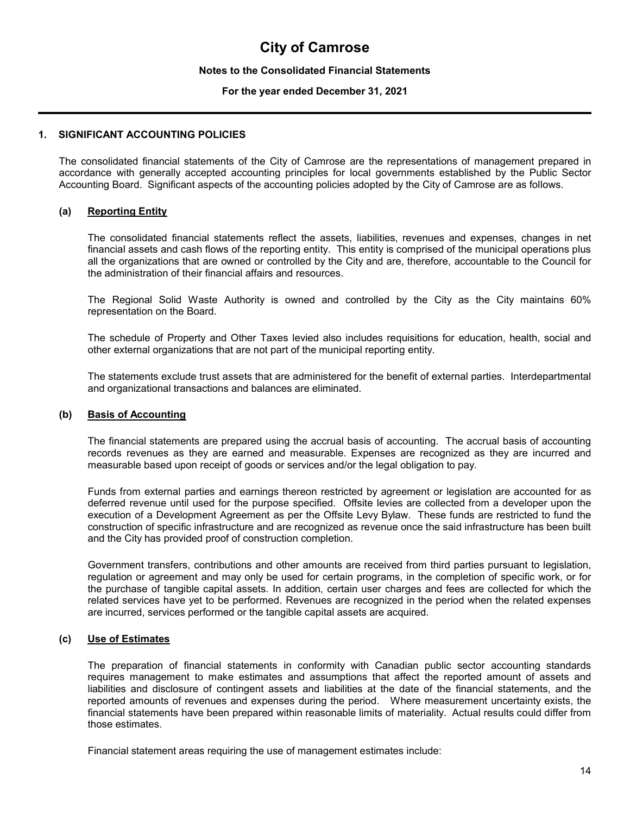#### Notes to the Consolidated Financial Statements

#### For the year ended December 31, 2021

#### 1. SIGNIFICANT ACCOUNTING POLICIES

The consolidated financial statements of the City of Camrose are the representations of management prepared in accordance with generally accepted accounting principles for local governments established by the Public Sector Accounting Board. Significant aspects of the accounting policies adopted by the City of Camrose are as follows.

#### (a) Reporting Entity

The consolidated financial statements reflect the assets, liabilities, revenues and expenses, changes in net financial assets and cash flows of the reporting entity. This entity is comprised of the municipal operations plus all the organizations that are owned or controlled by the City and are, therefore, accountable to the Council for the administration of their financial affairs and resources.

The Regional Solid Waste Authority is owned and controlled by the City as the City maintains 60% representation on the Board.

The schedule of Property and Other Taxes levied also includes requisitions for education, health, social and other external organizations that are not part of the municipal reporting entity.

The statements exclude trust assets that are administered for the benefit of external parties. Interdepartmental and organizational transactions and balances are eliminated.

#### (b) Basis of Accounting

The financial statements are prepared using the accrual basis of accounting. The accrual basis of accounting records revenues as they are earned and measurable. Expenses are recognized as they are incurred and measurable based upon receipt of goods or services and/or the legal obligation to pay.

Funds from external parties and earnings thereon restricted by agreement or legislation are accounted for as deferred revenue until used for the purpose specified. Offsite levies are collected from a developer upon the execution of a Development Agreement as per the Offsite Levy Bylaw. These funds are restricted to fund the construction of specific infrastructure and are recognized as revenue once the said infrastructure has been built and the City has provided proof of construction completion.

Government transfers, contributions and other amounts are received from third parties pursuant to legislation, regulation or agreement and may only be used for certain programs, in the completion of specific work, or for the purchase of tangible capital assets. In addition, certain user charges and fees are collected for which the related services have yet to be performed. Revenues are recognized in the period when the related expenses are incurred, services performed or the tangible capital assets are acquired.

#### (c) Use of Estimates

The preparation of financial statements in conformity with Canadian public sector accounting standards requires management to make estimates and assumptions that affect the reported amount of assets and liabilities and disclosure of contingent assets and liabilities at the date of the financial statements, and the reported amounts of revenues and expenses during the period. Where measurement uncertainty exists, the financial statements have been prepared within reasonable limits of materiality. Actual results could differ from those estimates.

Financial statement areas requiring the use of management estimates include: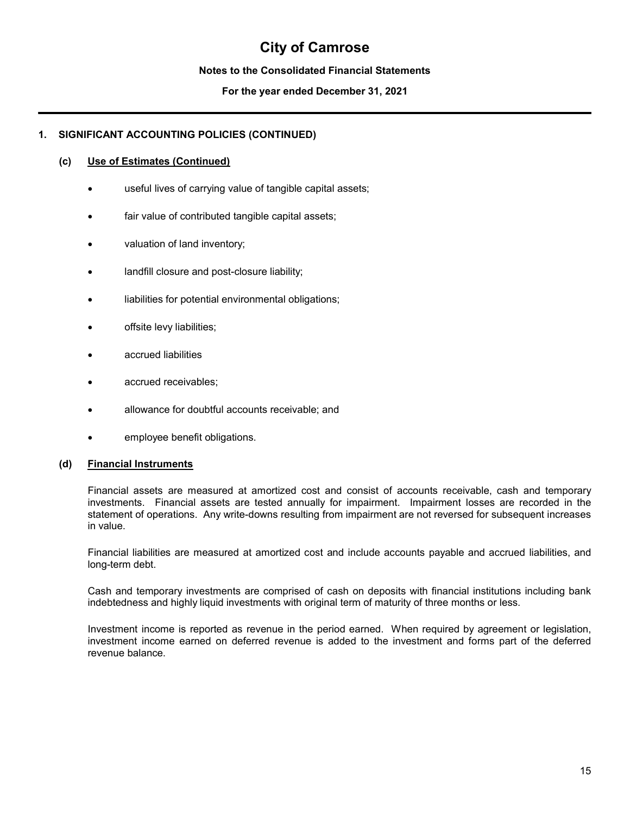#### Notes to the Consolidated Financial Statements

For the year ended December 31, 2021

#### 1. SIGNIFICANT ACCOUNTING POLICIES (CONTINUED)

#### (c) Use of Estimates (Continued)

- · useful lives of carrying value of tangible capital assets;
- · fair value of contributed tangible capital assets;
- · valuation of land inventory;
- landfill closure and post-closure liability;
- · liabilities for potential environmental obligations;
- offsite levy liabilities;
- · accrued liabilities
- accrued receivables;
- · allowance for doubtful accounts receivable; and
- · employee benefit obligations.

#### (d) Financial Instruments

Financial assets are measured at amortized cost and consist of accounts receivable, cash and temporary investments. Financial assets are tested annually for impairment. Impairment losses are recorded in the statement of operations. Any write-downs resulting from impairment are not reversed for subsequent increases in value.

Financial liabilities are measured at amortized cost and include accounts payable and accrued liabilities, and long-term debt.

Cash and temporary investments are comprised of cash on deposits with financial institutions including bank indebtedness and highly liquid investments with original term of maturity of three months or less.

Investment income is reported as revenue in the period earned. When required by agreement or legislation, investment income earned on deferred revenue is added to the investment and forms part of the deferred revenue balance.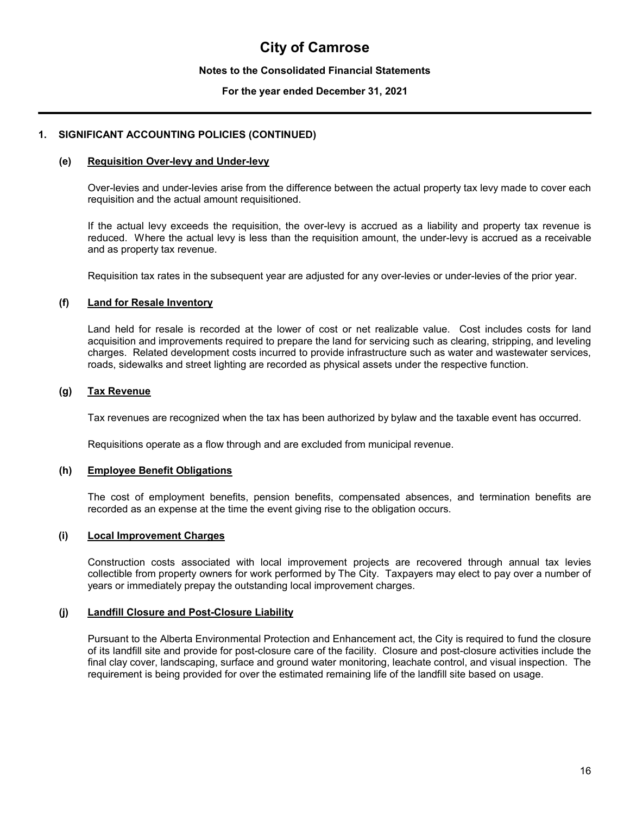#### Notes to the Consolidated Financial Statements

For the year ended December 31, 2021

#### 1. SIGNIFICANT ACCOUNTING POLICIES (CONTINUED)

#### (e) Requisition Over-levy and Under-levy

Over-levies and under-levies arise from the difference between the actual property tax levy made to cover each requisition and the actual amount requisitioned.

If the actual levy exceeds the requisition, the over-levy is accrued as a liability and property tax revenue is reduced. Where the actual levy is less than the requisition amount, the under-levy is accrued as a receivable and as property tax revenue.

Requisition tax rates in the subsequent year are adjusted for any over-levies or under-levies of the prior year.

#### (f) Land for Resale Inventory

Land held for resale is recorded at the lower of cost or net realizable value. Cost includes costs for land acquisition and improvements required to prepare the land for servicing such as clearing, stripping, and leveling charges. Related development costs incurred to provide infrastructure such as water and wastewater services, roads, sidewalks and street lighting are recorded as physical assets under the respective function.

#### (g) Tax Revenue

Tax revenues are recognized when the tax has been authorized by bylaw and the taxable event has occurred.

Requisitions operate as a flow through and are excluded from municipal revenue.

#### (h) Employee Benefit Obligations

The cost of employment benefits, pension benefits, compensated absences, and termination benefits are recorded as an expense at the time the event giving rise to the obligation occurs.

#### (i) Local Improvement Charges

Construction costs associated with local improvement projects are recovered through annual tax levies collectible from property owners for work performed by The City. Taxpayers may elect to pay over a number of years or immediately prepay the outstanding local improvement charges.

#### (j) Landfill Closure and Post-Closure Liability

Pursuant to the Alberta Environmental Protection and Enhancement act, the City is required to fund the closure of its landfill site and provide for post-closure care of the facility. Closure and post-closure activities include the final clay cover, landscaping, surface and ground water monitoring, leachate control, and visual inspection. The requirement is being provided for over the estimated remaining life of the landfill site based on usage.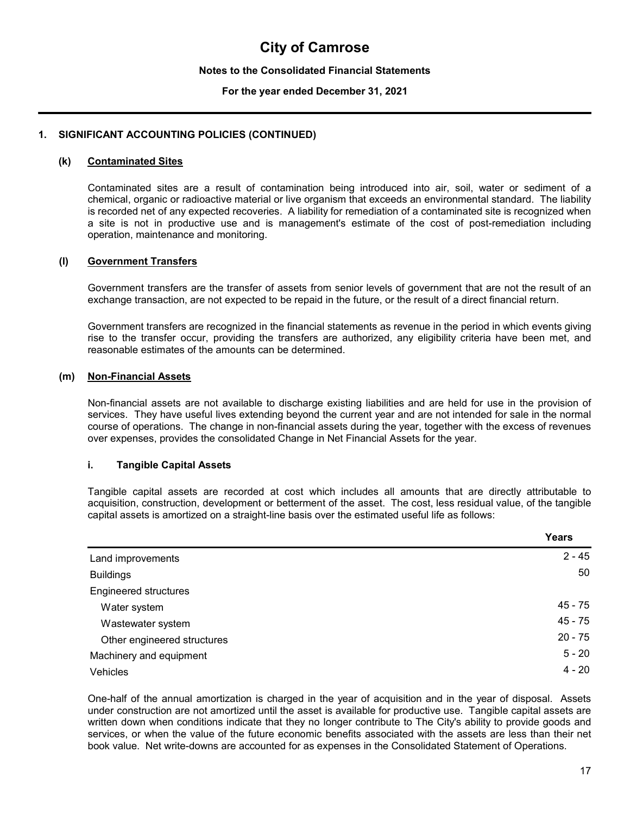#### Notes to the Consolidated Financial Statements

For the year ended December 31, 2021

#### 1. SIGNIFICANT ACCOUNTING POLICIES (CONTINUED)

#### (k) Contaminated Sites

Contaminated sites are a result of contamination being introduced into air, soil, water or sediment of a chemical, organic or radioactive material or live organism that exceeds an environmental standard. The liability is recorded net of any expected recoveries. A liability for remediation of a contaminated site is recognized when a site is not in productive use and is management's estimate of the cost of post-remediation including operation, maintenance and monitoring.

#### (l) Government Transfers

Government transfers are the transfer of assets from senior levels of government that are not the result of an exchange transaction, are not expected to be repaid in the future, or the result of a direct financial return.

Government transfers are recognized in the financial statements as revenue in the period in which events giving rise to the transfer occur, providing the transfers are authorized, any eligibility criteria have been met, and reasonable estimates of the amounts can be determined.

#### (m) Non-Financial Assets

Non-financial assets are not available to discharge existing liabilities and are held for use in the provision of services. They have useful lives extending beyond the current year and are not intended for sale in the normal course of operations. The change in non-financial assets during the year, together with the excess of revenues over expenses, provides the consolidated Change in Net Financial Assets for the year.

#### i. Tangible Capital Assets

Tangible capital assets are recorded at cost which includes all amounts that are directly attributable to acquisition, construction, development or betterment of the asset. The cost, less residual value, of the tangible capital assets is amortized on a straight-line basis over the estimated useful life as follows:

| Years                        |           |
|------------------------------|-----------|
| Land improvements            | $2 - 45$  |
| <b>Buildings</b>             | 50        |
| <b>Engineered structures</b> |           |
| Water system                 | 45 - 75   |
| Wastewater system            | $45 - 75$ |
| Other engineered structures  | $20 - 75$ |
| Machinery and equipment      | $5 - 20$  |
| Vehicles                     | $4 - 20$  |

One-half of the annual amortization is charged in the year of acquisition and in the year of disposal. Assets under construction are not amortized until the asset is available for productive use. Tangible capital assets are written down when conditions indicate that they no longer contribute to The City's ability to provide goods and services, or when the value of the future economic benefits associated with the assets are less than their net book value. Net write-downs are accounted for as expenses in the Consolidated Statement of Operations.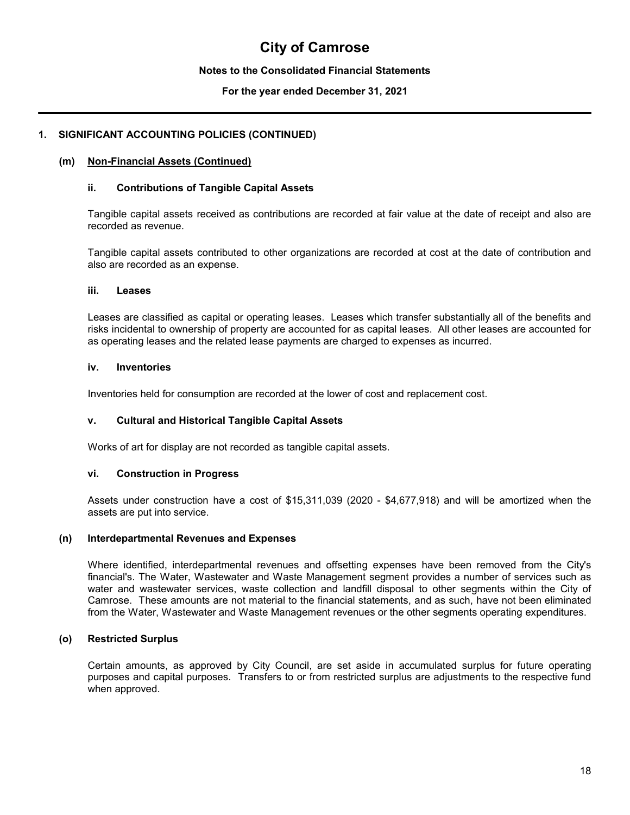#### Notes to the Consolidated Financial Statements

For the year ended December 31, 2021

#### 1. SIGNIFICANT ACCOUNTING POLICIES (CONTINUED)

#### (m) Non-Financial Assets (Continued)

#### ii. Contributions of Tangible Capital Assets

Tangible capital assets received as contributions are recorded at fair value at the date of receipt and also are recorded as revenue.

Tangible capital assets contributed to other organizations are recorded at cost at the date of contribution and also are recorded as an expense.

#### iii. Leases

Leases are classified as capital or operating leases. Leases which transfer substantially all of the benefits and risks incidental to ownership of property are accounted for as capital leases. All other leases are accounted for as operating leases and the related lease payments are charged to expenses as incurred.

#### iv. Inventories

Inventories held for consumption are recorded at the lower of cost and replacement cost.

#### v. Cultural and Historical Tangible Capital Assets

Works of art for display are not recorded as tangible capital assets.

#### vi. Construction in Progress

Assets under construction have a cost of \$15,311,039 (2020 - \$4,677,918) and will be amortized when the assets are put into service.

#### (n) Interdepartmental Revenues and Expenses

Where identified, interdepartmental revenues and offsetting expenses have been removed from the City's financial's. The Water, Wastewater and Waste Management segment provides a number of services such as water and wastewater services, waste collection and landfill disposal to other segments within the City of Camrose. These amounts are not material to the financial statements, and as such, have not been eliminated from the Water, Wastewater and Waste Management revenues or the other segments operating expenditures.

#### (o) Restricted Surplus

Certain amounts, as approved by City Council, are set aside in accumulated surplus for future operating purposes and capital purposes. Transfers to or from restricted surplus are adjustments to the respective fund when approved.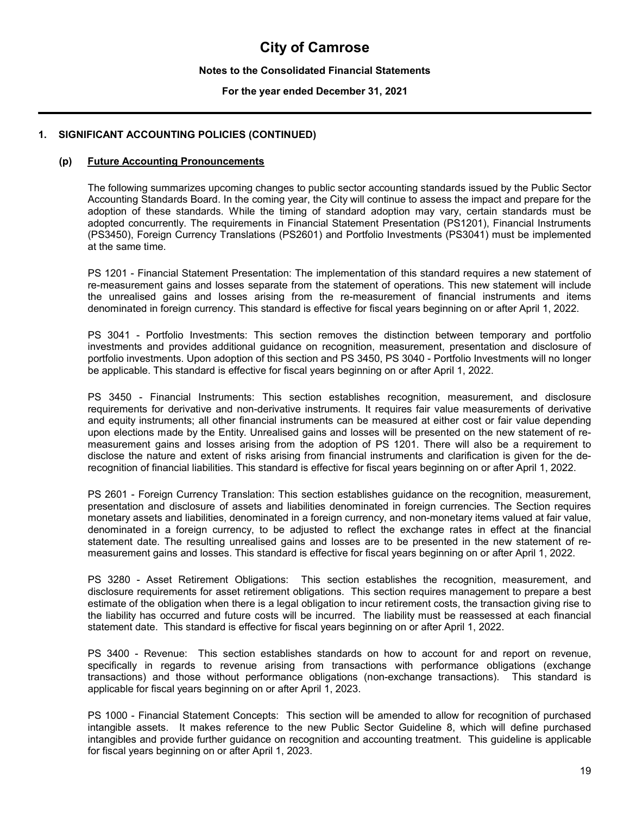#### Notes to the Consolidated Financial Statements

For the year ended December 31, 2021

#### 1. SIGNIFICANT ACCOUNTING POLICIES (CONTINUED)

#### (p) Future Accounting Pronouncements

The following summarizes upcoming changes to public sector accounting standards issued by the Public Sector Accounting Standards Board. In the coming year, the City will continue to assess the impact and prepare for the adoption of these standards. While the timing of standard adoption may vary, certain standards must be adopted concurrently. The requirements in Financial Statement Presentation (PS1201), Financial Instruments (PS3450), Foreign Currency Translations (PS2601) and Portfolio Investments (PS3041) must be implemented at the same time.

PS 1201 - Financial Statement Presentation: The implementation of this standard requires a new statement of re-measurement gains and losses separate from the statement of operations. This new statement will include the unrealised gains and losses arising from the re-measurement of financial instruments and items denominated in foreign currency. This standard is effective for fiscal years beginning on or after April 1, 2022.

PS 3041 - Portfolio Investments: This section removes the distinction between temporary and portfolio investments and provides additional guidance on recognition, measurement, presentation and disclosure of portfolio investments. Upon adoption of this section and PS 3450, PS 3040 - Portfolio Investments will no longer be applicable. This standard is effective for fiscal years beginning on or after April 1, 2022.

PS 3450 - Financial Instruments: This section establishes recognition, measurement, and disclosure requirements for derivative and non-derivative instruments. It requires fair value measurements of derivative and equity instruments; all other financial instruments can be measured at either cost or fair value depending upon elections made by the Entity. Unrealised gains and losses will be presented on the new statement of remeasurement gains and losses arising from the adoption of PS 1201. There will also be a requirement to disclose the nature and extent of risks arising from financial instruments and clarification is given for the derecognition of financial liabilities. This standard is effective for fiscal years beginning on or after April 1, 2022.

PS 2601 - Foreign Currency Translation: This section establishes guidance on the recognition, measurement, presentation and disclosure of assets and liabilities denominated in foreign currencies. The Section requires monetary assets and liabilities, denominated in a foreign currency, and non-monetary items valued at fair value, denominated in a foreign currency, to be adjusted to reflect the exchange rates in effect at the financial statement date. The resulting unrealised gains and losses are to be presented in the new statement of remeasurement gains and losses. This standard is effective for fiscal years beginning on or after April 1, 2022.

PS 3280 - Asset Retirement Obligations: This section establishes the recognition, measurement, and disclosure requirements for asset retirement obligations. This section requires management to prepare a best estimate of the obligation when there is a legal obligation to incur retirement costs, the transaction giving rise to the liability has occurred and future costs will be incurred. The liability must be reassessed at each financial statement date. This standard is effective for fiscal years beginning on or after April 1, 2022.

PS 3400 - Revenue: This section establishes standards on how to account for and report on revenue, specifically in regards to revenue arising from transactions with performance obligations (exchange transactions) and those without performance obligations (non-exchange transactions). This standard is applicable for fiscal years beginning on or after April 1, 2023.

PS 1000 - Financial Statement Concepts: This section will be amended to allow for recognition of purchased intangible assets. It makes reference to the new Public Sector Guideline 8, which will define purchased intangibles and provide further guidance on recognition and accounting treatment. This guideline is applicable for fiscal years beginning on or after April 1, 2023.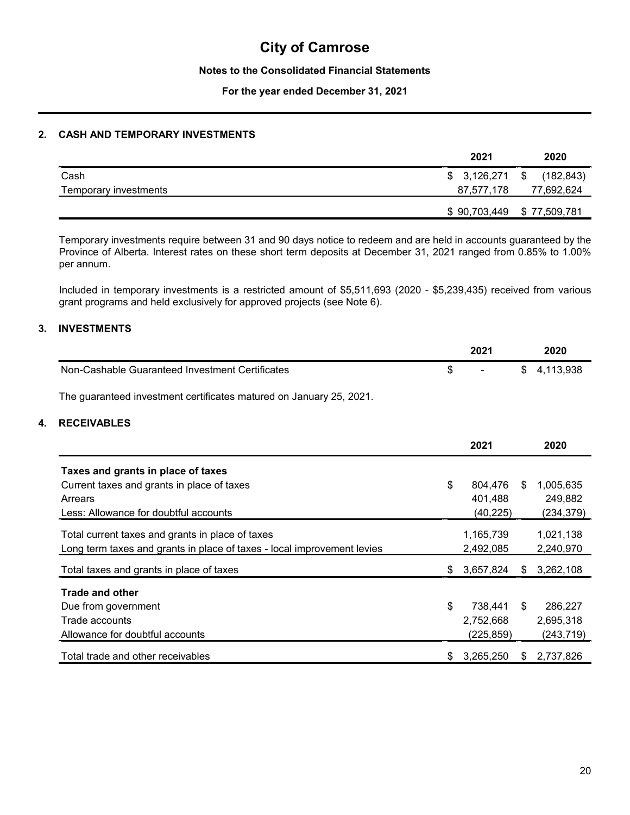#### Notes to the Consolidated Financial Statements

For the year ended December 31, 2021

#### 2. CASH AND TEMPORARY INVESTMENTS

|                       | 2021         | 2020                        |
|-----------------------|--------------|-----------------------------|
| Cash                  | \$3,126,271  | $\mathcal{S}$<br>(182, 843) |
| Temporary investments | 87,577,178   | 77,692,624                  |
|                       | \$90,703,449 | \$77,509,781                |

Temporary investments require between 31 and 90 days notice to redeem and are held in accounts guaranteed by the Province of Alberta. Interest rates on these short term deposits at December 31, 2021 ranged from 0.85% to 1.00% per annum.

Included in temporary investments is a restricted amount of \$5,511,693 (2020 - \$5,239,435) received from various grant programs and held exclusively for approved projects (see Note 6).

#### 3. INVESTMENTS

|                                                 | 2021 | 2020             |
|-------------------------------------------------|------|------------------|
| Non-Cashable Guaranteed Investment Certificates |      | $-$ \$ 4,113,938 |

The guaranteed investment certificates matured on January 25, 2021.

#### 4. RECEIVABLES

|                                                                         |    | 2021       |     | 2020       |
|-------------------------------------------------------------------------|----|------------|-----|------------|
| Taxes and grants in place of taxes                                      |    |            |     |            |
| Current taxes and grants in place of taxes                              | \$ | 804,476    | \$. | 1,005,635  |
| Arrears                                                                 |    | 401,488    |     | 249,882    |
| Less: Allowance for doubtful accounts                                   |    | (40, 225)  |     | (234,379)  |
| Total current taxes and grants in place of taxes                        |    | 1,165,739  |     | 1,021,138  |
| Long term taxes and grants in place of taxes - local improvement levies |    | 2,492,085  |     | 2,240,970  |
| Total taxes and grants in place of taxes                                | S  | 3,657,824  | S   | 3,262,108  |
| <b>Trade and other</b>                                                  |    |            |     |            |
| Due from government                                                     | \$ | 738,441    | \$  | 286.227    |
| Trade accounts                                                          |    | 2,752,668  |     | 2,695,318  |
| Allowance for doubtful accounts                                         |    | (225, 859) |     | (243, 719) |
| Total trade and other receivables                                       | S. | 3,265,250  | S.  | 2,737,826  |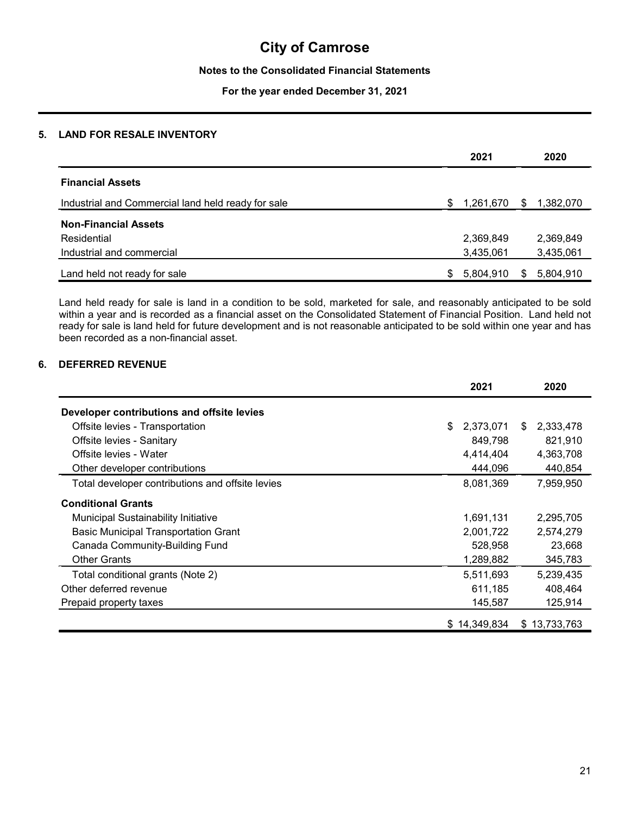#### Notes to the Consolidated Financial Statements

For the year ended December 31, 2021

#### 5. LAND FOR RESALE INVENTORY

|                                                    | 2021            | 2020           |
|----------------------------------------------------|-----------------|----------------|
| <b>Financial Assets</b>                            |                 |                |
| Industrial and Commercial land held ready for sale | 1,261,670<br>S. | S<br>1,382,070 |
| <b>Non-Financial Assets</b>                        |                 |                |
| Residential                                        | 2,369,849       | 2,369,849      |
| Industrial and commercial                          | 3,435,061       | 3,435,061      |
| Land held not ready for sale                       | 5,804,910<br>S. | 5,804,910<br>S |

Land held ready for sale is land in a condition to be sold, marketed for sale, and reasonably anticipated to be sold within a year and is recorded as a financial asset on the Consolidated Statement of Financial Position. Land held not ready for sale is land held for future development and is not reasonable anticipated to be sold within one year and has been recorded as a non-financial asset.

#### 6. DEFERRED REVENUE

|                                                  | 2021            | 2020             |
|--------------------------------------------------|-----------------|------------------|
| Developer contributions and offsite levies       |                 |                  |
| Offsite levies - Transportation                  | \$<br>2,373,071 | 2,333,478<br>\$. |
| Offsite levies - Sanitary                        | 849,798         | 821,910          |
| Offsite levies - Water                           | 4,414,404       | 4,363,708        |
| Other developer contributions                    | 444,096         | 440,854          |
| Total developer contributions and offsite levies | 8,081,369       | 7,959,950        |
| <b>Conditional Grants</b>                        |                 |                  |
| <b>Municipal Sustainability Initiative</b>       | 1,691,131       | 2,295,705        |
| <b>Basic Municipal Transportation Grant</b>      | 2,001,722       | 2,574,279        |
| Canada Community-Building Fund                   | 528,958         | 23,668           |
| <b>Other Grants</b>                              | 1,289,882       | 345,783          |
| Total conditional grants (Note 2)                | 5,511,693       | 5,239,435        |
| Other deferred revenue                           | 611,185         | 408,464          |
| Prepaid property taxes                           | 145,587         | 125,914          |
|                                                  | \$14,349,834    | \$13,733,763     |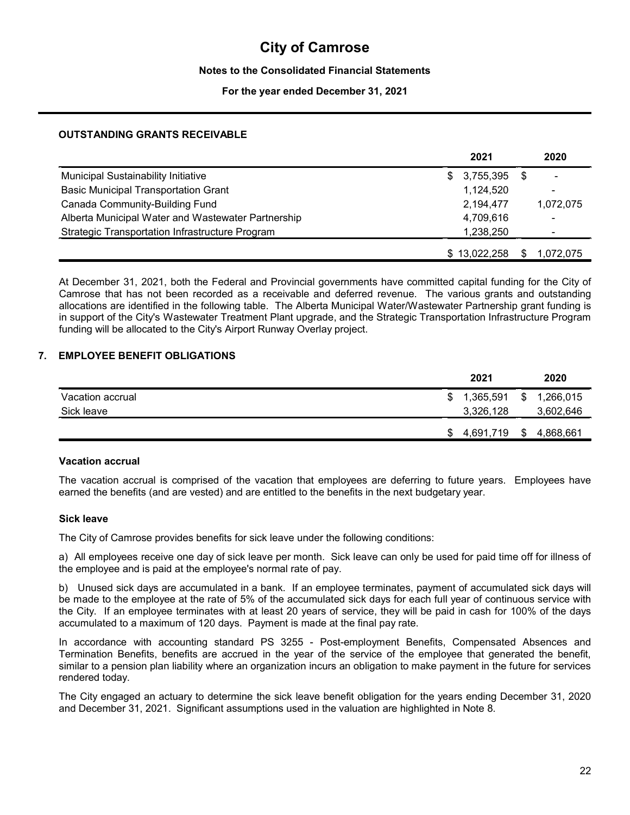#### Notes to the Consolidated Financial Statements

For the year ended December 31, 2021

#### OUTSTANDING GRANTS RECEIVABLE

|                                                    |     | 2021         | 2020                     |
|----------------------------------------------------|-----|--------------|--------------------------|
| <b>Municipal Sustainability Initiative</b>         | SS. | 3,755,395    | $\overline{\phantom{a}}$ |
| <b>Basic Municipal Transportation Grant</b>        |     | 1,124,520    | -                        |
| Canada Community-Building Fund                     |     | 2,194,477    | 1.072.075                |
| Alberta Municipal Water and Wastewater Partnership |     | 4,709,616    |                          |
| Strategic Transportation Infrastructure Program    |     | 1,238,250    |                          |
|                                                    |     | \$13.022.258 | 1.072.075                |

At December 31, 2021, both the Federal and Provincial governments have committed capital funding for the City of Camrose that has not been recorded as a receivable and deferred revenue. The various grants and outstanding allocations are identified in the following table. The Alberta Municipal Water/Wastewater Partnership grant funding is in support of the City's Wastewater Treatment Plant upgrade, and the Strategic Transportation Infrastructure Program funding will be allocated to the City's Airport Runway Overlay project.

#### 7. EMPLOYEE BENEFIT OBLIGATIONS

|                  | 2021                  | 2020      |
|------------------|-----------------------|-----------|
| Vacation accrual | 1,365,591<br>\$<br>S. | 1,266,015 |
| Sick leave       | 3,326,128             | 3,602,646 |
|                  | 4,691,719<br>\$       | 4,868,661 |

#### Vacation accrual

The vacation accrual is comprised of the vacation that employees are deferring to future years. Employees have earned the benefits (and are vested) and are entitled to the benefits in the next budgetary year.

#### Sick leave

The City of Camrose provides benefits for sick leave under the following conditions:

a) All employees receive one day of sick leave per month. Sick leave can only be used for paid time off for illness of the employee and is paid at the employee's normal rate of pay.

b) Unused sick days are accumulated in a bank. If an employee terminates, payment of accumulated sick days will be made to the employee at the rate of 5% of the accumulated sick days for each full year of continuous service with the City. If an employee terminates with at least 20 years of service, they will be paid in cash for 100% of the days accumulated to a maximum of 120 days. Payment is made at the final pay rate.

In accordance with accounting standard PS 3255 - Post-employment Benefits, Compensated Absences and Termination Benefits, benefits are accrued in the year of the service of the employee that generated the benefit, similar to a pension plan liability where an organization incurs an obligation to make payment in the future for services rendered today.

The City engaged an actuary to determine the sick leave benefit obligation for the years ending December 31, 2020 and December 31, 2021. Significant assumptions used in the valuation are highlighted in Note 8.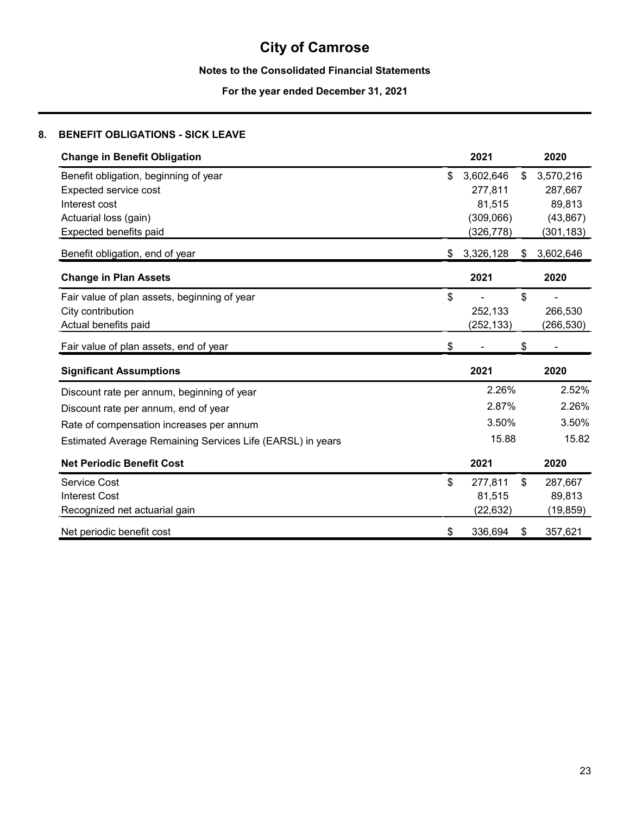#### Notes to the Consolidated Financial Statements

For the year ended December 31, 2021

#### 8. BENEFIT OBLIGATIONS - SICK LEAVE

| <b>Change in Benefit Obligation</b>                        | 2021            | 2020            |
|------------------------------------------------------------|-----------------|-----------------|
| Benefit obligation, beginning of year                      | \$<br>3,602,646 | \$<br>3,570,216 |
| Expected service cost                                      | 277,811         | 287,667         |
| Interest cost                                              | 81,515          | 89,813          |
| Actuarial loss (gain)                                      | (309,066)       | (43, 867)       |
| Expected benefits paid                                     | (326, 778)      | (301, 183)      |
| Benefit obligation, end of year                            | \$<br>3,326,128 | \$<br>3,602,646 |
| <b>Change in Plan Assets</b>                               | 2021            | 2020            |
| Fair value of plan assets, beginning of year               | \$              | \$              |
| City contribution                                          | 252,133         | 266,530         |
| Actual benefits paid                                       | (252, 133)      | (266, 530)      |
| Fair value of plan assets, end of year                     | \$              | \$              |
| <b>Significant Assumptions</b>                             | 2021            | 2020            |
| Discount rate per annum, beginning of year                 | 2.26%           | 2.52%           |
| Discount rate per annum, end of year                       | 2.87%           | 2.26%           |
| Rate of compensation increases per annum                   | 3.50%           | 3.50%           |
| Estimated Average Remaining Services Life (EARSL) in years | 15.88           | 15.82           |
| <b>Net Periodic Benefit Cost</b>                           | 2021            | 2020            |
| Service Cost                                               | \$<br>277,811   | \$<br>287,667   |
| <b>Interest Cost</b>                                       | 81,515          | 89,813          |
| Recognized net actuarial gain                              | (22, 632)       | (19, 859)       |
| Net periodic benefit cost                                  | \$<br>336,694   | \$<br>357,621   |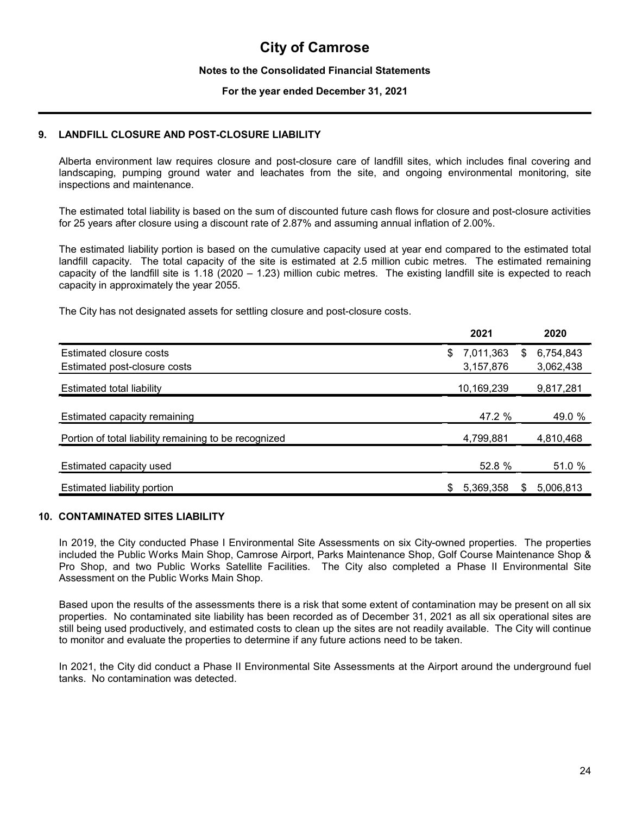#### Notes to the Consolidated Financial Statements

For the year ended December 31, 2021

#### 9. LANDFILL CLOSURE AND POST-CLOSURE LIABILITY

Alberta environment law requires closure and post-closure care of landfill sites, which includes final covering and landscaping, pumping ground water and leachates from the site, and ongoing environmental monitoring, site inspections and maintenance.

The estimated total liability is based on the sum of discounted future cash flows for closure and post-closure activities for 25 years after closure using a discount rate of 2.87% and assuming annual inflation of 2.00%.

The estimated liability portion is based on the cumulative capacity used at year end compared to the estimated total landfill capacity. The total capacity of the site is estimated at 2.5 million cubic metres. The estimated remaining capacity of the landfill site is 1.18 (2020 – 1.23) million cubic metres. The existing landfill site is expected to reach capacity in approximately the year 2055.

The City has not designated assets for settling closure and post-closure costs.

|                                                       | 2021            |     | 2020      |
|-------------------------------------------------------|-----------------|-----|-----------|
| Estimated closure costs                               | \$<br>7,011,363 | \$  | 6,754,843 |
| Estimated post-closure costs                          | 3,157,876       |     | 3,062,438 |
| Estimated total liability                             | 10,169,239      |     | 9,817,281 |
| Estimated capacity remaining                          | 47.2 %          |     | 49.0 %    |
| Portion of total liability remaining to be recognized | 4,799,881       |     | 4,810,468 |
| Estimated capacity used                               | 52.8 %          |     | 51.0 %    |
| Estimated liability portion                           | 5,369,358       | \$. | 5,006,813 |

#### 10. CONTAMINATED SITES LIABILITY

In 2019, the City conducted Phase I Environmental Site Assessments on six City-owned properties. The properties included the Public Works Main Shop, Camrose Airport, Parks Maintenance Shop, Golf Course Maintenance Shop & Pro Shop, and two Public Works Satellite Facilities. The City also completed a Phase II Environmental Site Assessment on the Public Works Main Shop.

Based upon the results of the assessments there is a risk that some extent of contamination may be present on all six properties. No contaminated site liability has been recorded as of December 31, 2021 as all six operational sites are still being used productively, and estimated costs to clean up the sites are not readily available. The City will continue to monitor and evaluate the properties to determine if any future actions need to be taken.

In 2021, the City did conduct a Phase II Environmental Site Assessments at the Airport around the underground fuel tanks. No contamination was detected.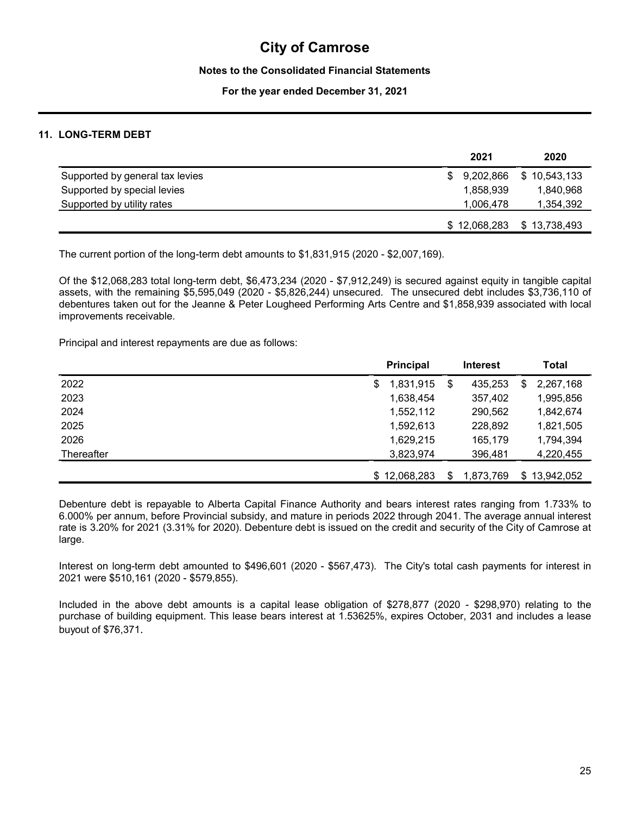#### Notes to the Consolidated Financial Statements

For the year ended December 31, 2021

#### 11. LONG-TERM DEBT

|                                 | 2021         | 2020         |
|---------------------------------|--------------|--------------|
| Supported by general tax levies | \$9,202,866  | \$10.543.133 |
| Supported by special levies     | 1.858.939    | 1,840,968    |
| Supported by utility rates      | 1.006.478    | 1,354,392    |
|                                 | \$12,068,283 | \$13,738,493 |

The current portion of the long-term debt amounts to \$1,831,915 (2020 - \$2,007,169).

Of the \$12,068,283 total long-term debt, \$6,473,234 (2020 - \$7,912,249) is secured against equity in tangible capital assets, with the remaining \$5,595,049 (2020 - \$5,826,244) unsecured. The unsecured debt includes \$3,736,110 of debentures taken out for the Jeanne & Peter Lougheed Performing Arts Centre and \$1,858,939 associated with local improvements receivable.

Principal and interest repayments are due as follows:

|            | <b>Principal</b> |              | <b>Interest</b> | Total     |                 |
|------------|------------------|--------------|-----------------|-----------|-----------------|
| 2022       | \$               | 1,831,915    | S               | 435,253   | \$<br>2,267,168 |
| 2023       |                  | 1,638,454    |                 | 357,402   | 1,995,856       |
| 2024       |                  | 1,552,112    |                 | 290,562   | 1,842,674       |
| 2025       |                  | 1,592,613    |                 | 228,892   | 1,821,505       |
| 2026       |                  | 1,629,215    |                 | 165,179   | 1,794,394       |
| Thereafter |                  | 3,823,974    |                 | 396,481   | 4,220,455       |
|            |                  | \$12,068,283 | S.              | 1,873,769 | \$13,942,052    |

Debenture debt is repayable to Alberta Capital Finance Authority and bears interest rates ranging from 1.733% to 6.000% per annum, before Provincial subsidy, and mature in periods 2022 through 2041. The average annual interest rate is 3.20% for 2021 (3.31% for 2020). Debenture debt is issued on the credit and security of the City of Camrose at large.

Interest on long-term debt amounted to \$496,601 (2020 - \$567,473). The City's total cash payments for interest in 2021 were \$510,161 (2020 - \$579,855).

Included in the above debt amounts is a capital lease obligation of \$278,877 (2020 - \$298,970) relating to the purchase of building equipment. This lease bears interest at 1.53625%, expires October, 2031 and includes a lease buyout of \$76,371.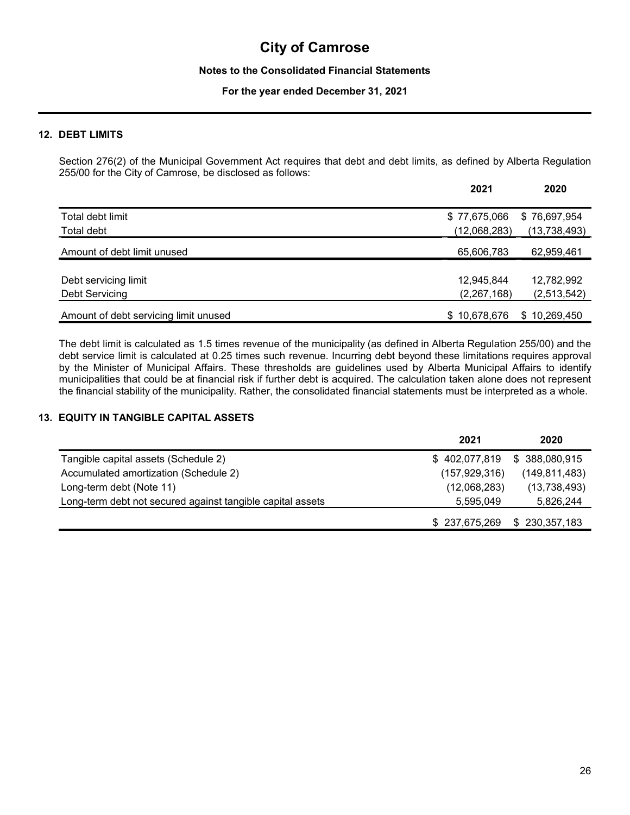#### Notes to the Consolidated Financial Statements

For the year ended December 31, 2021

#### 12. DEBT LIMITS

Section 276(2) of the Municipal Government Act requires that debt and debt limits, as defined by Alberta Regulation 255/00 for the City of Camrose, be disclosed as follows:

|                                       | 2021          | 2020           |
|---------------------------------------|---------------|----------------|
| Total debt limit                      | \$77,675,066  | \$76,697,954   |
| Total debt                            | (12,068,283)  | (13, 738, 493) |
| Amount of debt limit unused           | 65,606,783    | 62,959,461     |
| Debt servicing limit                  | 12,945,844    | 12,782,992     |
| <b>Debt Servicing</b>                 | (2, 267, 168) | (2,513,542)    |
| Amount of debt servicing limit unused | \$10,678,676  | \$10,269,450   |

The debt limit is calculated as 1.5 times revenue of the municipality (as defined in Alberta Regulation 255/00) and the debt service limit is calculated at 0.25 times such revenue. Incurring debt beyond these limitations requires approval by the Minister of Municipal Affairs. These thresholds are guidelines used by Alberta Municipal Affairs to identify municipalities that could be at financial risk if further debt is acquired. The calculation taken alone does not represent the financial stability of the municipality. Rather, the consolidated financial statements must be interpreted as a whole.

#### 13. EQUITY IN TANGIBLE CAPITAL ASSETS

|                                                            | 2021            | 2020            |
|------------------------------------------------------------|-----------------|-----------------|
| Tangible capital assets (Schedule 2)                       | \$402,077,819   | \$ 388,080,915  |
| Accumulated amortization (Schedule 2)                      | (157, 929, 316) | (149, 811, 483) |
| Long-term debt (Note 11)                                   | (12,068,283)    | (13, 738, 493)  |
| Long-term debt not secured against tangible capital assets | 5,595,049       | 5,826,244       |
|                                                            | \$237,675,269   | \$230,357,183   |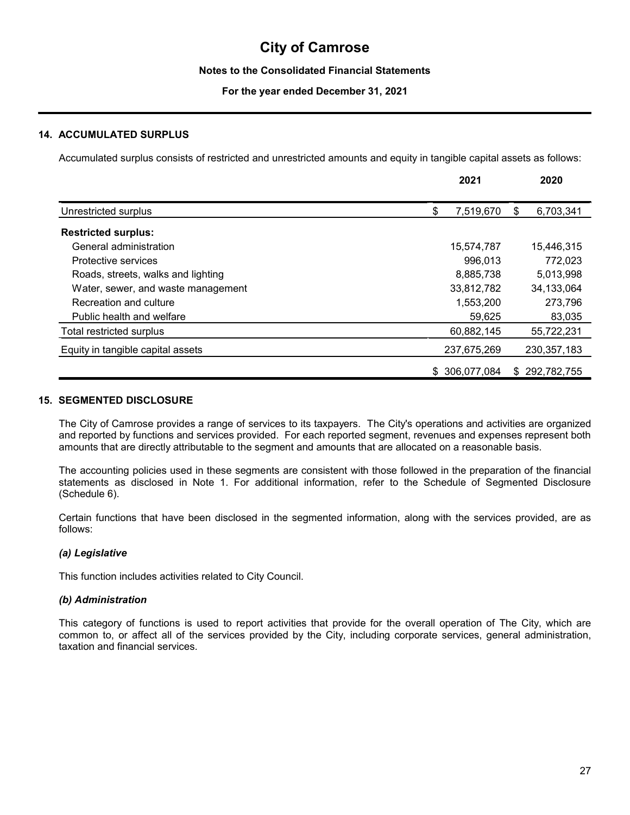#### Notes to the Consolidated Financial Statements

For the year ended December 31, 2021

#### 14. ACCUMULATED SURPLUS

Accumulated surplus consists of restricted and unrestricted amounts and equity in tangible capital assets as follows:

|                                    | 2021 |                |    | 2020          |  |  |
|------------------------------------|------|----------------|----|---------------|--|--|
| Unrestricted surplus               |      | 7,519,670      | \$ | 6,703,341     |  |  |
| <b>Restricted surplus:</b>         |      |                |    |               |  |  |
| General administration             |      | 15,574,787     |    | 15,446,315    |  |  |
| Protective services                |      | 996,013        |    | 772,023       |  |  |
| Roads, streets, walks and lighting |      | 8,885,738      |    | 5,013,998     |  |  |
| Water, sewer, and waste management |      | 33,812,782     |    | 34,133,064    |  |  |
| Recreation and culture             |      | 1,553,200      |    | 273,796       |  |  |
| Public health and welfare          |      | 59,625         |    | 83,035        |  |  |
| Total restricted surplus           |      | 60,882,145     |    | 55,722,231    |  |  |
| Equity in tangible capital assets  |      | 237,675,269    |    | 230, 357, 183 |  |  |
|                                    |      | \$ 306,077,084 |    | \$292,782,755 |  |  |

#### 15. SEGMENTED DISCLOSURE

The City of Camrose provides a range of services to its taxpayers. The City's operations and activities are organized and reported by functions and services provided. For each reported segment, revenues and expenses represent both amounts that are directly attributable to the segment and amounts that are allocated on a reasonable basis.

The accounting policies used in these segments are consistent with those followed in the preparation of the financial statements as disclosed in Note 1. For additional information, refer to the Schedule of Segmented Disclosure (Schedule 6).

Certain functions that have been disclosed in the segmented information, along with the services provided, are as follows:

#### (a) Legislative

This function includes activities related to City Council.

#### (b) Administration

This category of functions is used to report activities that provide for the overall operation of The City, which are common to, or affect all of the services provided by the City, including corporate services, general administration, taxation and financial services.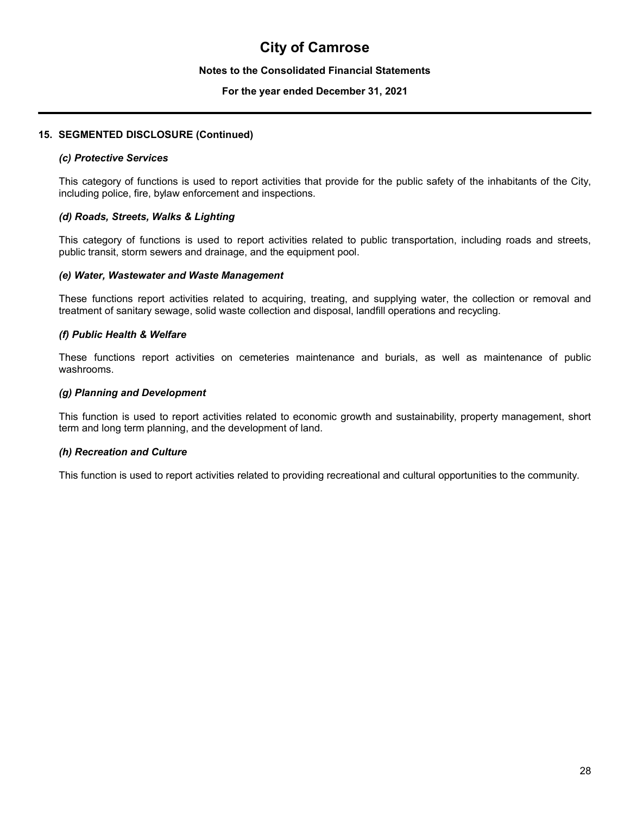#### Notes to the Consolidated Financial Statements

For the year ended December 31, 2021

#### 15. SEGMENTED DISCLOSURE (Continued)

#### (c) Protective Services

This category of functions is used to report activities that provide for the public safety of the inhabitants of the City, including police, fire, bylaw enforcement and inspections.

#### (d) Roads, Streets, Walks & Lighting

This category of functions is used to report activities related to public transportation, including roads and streets, public transit, storm sewers and drainage, and the equipment pool.

#### (e) Water, Wastewater and Waste Management

These functions report activities related to acquiring, treating, and supplying water, the collection or removal and treatment of sanitary sewage, solid waste collection and disposal, landfill operations and recycling.

#### (f) Public Health & Welfare

These functions report activities on cemeteries maintenance and burials, as well as maintenance of public washrooms.

#### (g) Planning and Development

This function is used to report activities related to economic growth and sustainability, property management, short term and long term planning, and the development of land.

#### (h) Recreation and Culture

This function is used to report activities related to providing recreational and cultural opportunities to the community.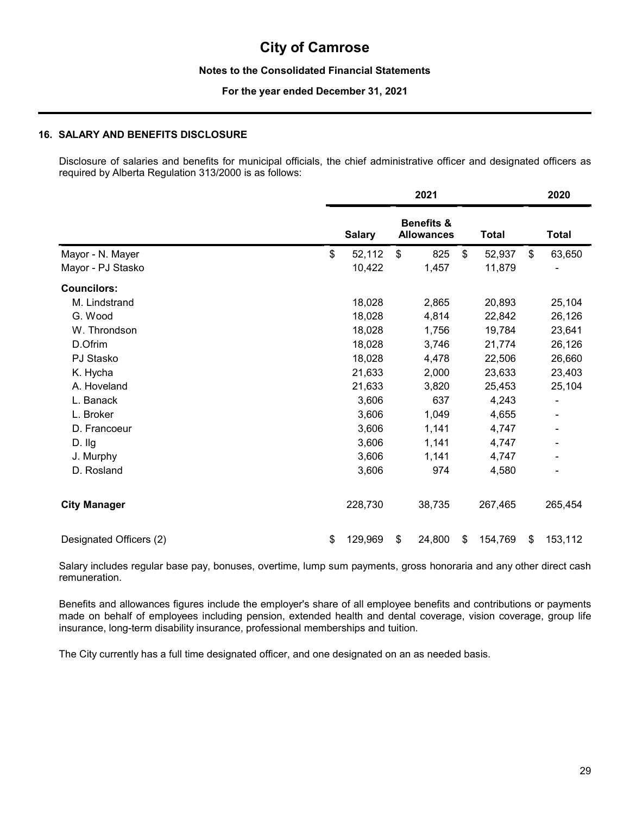#### Notes to the Consolidated Financial Statements

For the year ended December 31, 2021

#### 16. SALARY AND BENEFITS DISCLOSURE

Disclosure of salaries and benefits for municipal officials, the chief administrative officer and designated officers as required by Alberta Regulation 313/2000 is as follows:

|                         | 2021 |               |    | 2020                                       |               |               |
|-------------------------|------|---------------|----|--------------------------------------------|---------------|---------------|
|                         |      | <b>Salary</b> |    | <b>Benefits &amp;</b><br><b>Allowances</b> | <b>Total</b>  | <b>Total</b>  |
| Mayor - N. Mayer        | \$   | 52,112        | \$ | 825                                        | \$<br>52,937  | \$<br>63,650  |
| Mayor - PJ Stasko       |      | 10,422        |    | 1,457                                      | 11,879        |               |
| <b>Councilors:</b>      |      |               |    |                                            |               |               |
| M. Lindstrand           |      | 18,028        |    | 2,865                                      | 20,893        | 25,104        |
| G. Wood                 |      | 18,028        |    | 4,814                                      | 22,842        | 26,126        |
| W. Throndson            |      | 18,028        |    | 1,756                                      | 19,784        | 23,641        |
| D.Ofrim                 |      | 18,028        |    | 3,746                                      | 21,774        | 26,126        |
| PJ Stasko               |      | 18,028        |    | 4,478                                      | 22,506        | 26,660        |
| K. Hycha                |      | 21,633        |    | 2,000                                      | 23,633        | 23,403        |
| A. Hoveland             |      | 21,633        |    | 3,820                                      | 25,453        | 25,104        |
| L. Banack               |      | 3,606         |    | 637                                        | 4,243         |               |
| L. Broker               |      | 3,606         |    | 1,049                                      | 4,655         |               |
| D. Francoeur            |      | 3,606         |    | 1,141                                      | 4,747         | ۰             |
| D. Ilg                  |      | 3,606         |    | 1,141                                      | 4,747         |               |
| J. Murphy               |      | 3,606         |    | 1,141                                      | 4,747         |               |
| D. Rosland              |      | 3,606         |    | 974                                        | 4,580         |               |
| <b>City Manager</b>     |      | 228,730       |    | 38,735                                     | 267,465       | 265,454       |
| Designated Officers (2) | \$   | 129,969       | \$ | 24,800                                     | \$<br>154,769 | \$<br>153,112 |

Salary includes regular base pay, bonuses, overtime, lump sum payments, gross honoraria and any other direct cash remuneration.

Benefits and allowances figures include the employer's share of all employee benefits and contributions or payments made on behalf of employees including pension, extended health and dental coverage, vision coverage, group life insurance, long-term disability insurance, professional memberships and tuition.

The City currently has a full time designated officer, and one designated on an as needed basis.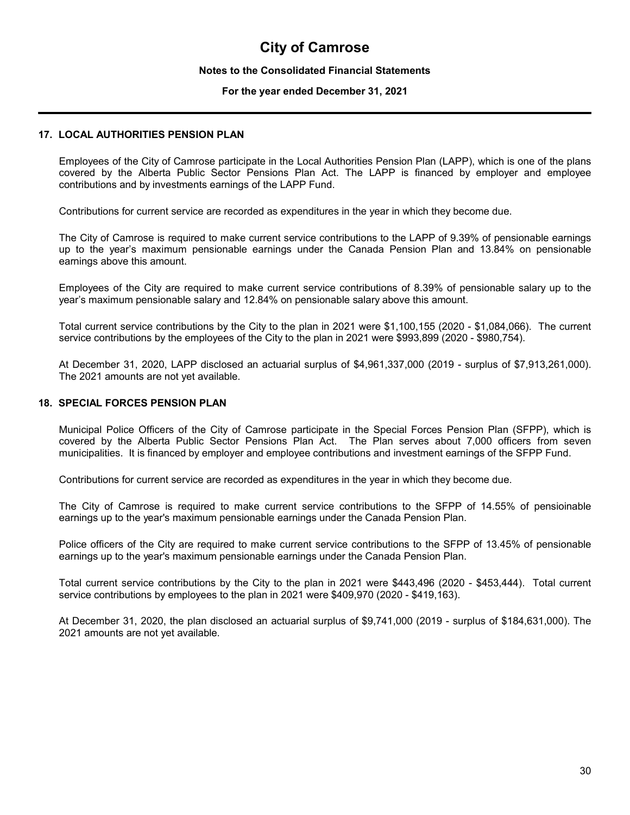#### Notes to the Consolidated Financial Statements

#### For the year ended December 31, 2021

#### 17. LOCAL AUTHORITIES PENSION PLAN

Employees of the City of Camrose participate in the Local Authorities Pension Plan (LAPP), which is one of the plans covered by the Alberta Public Sector Pensions Plan Act. The LAPP is financed by employer and employee contributions and by investments earnings of the LAPP Fund.

Contributions for current service are recorded as expenditures in the year in which they become due.

The City of Camrose is required to make current service contributions to the LAPP of 9.39% of pensionable earnings up to the year's maximum pensionable earnings under the Canada Pension Plan and 13.84% on pensionable earnings above this amount.

Employees of the City are required to make current service contributions of 8.39% of pensionable salary up to the year's maximum pensionable salary and 12.84% on pensionable salary above this amount.

Total current service contributions by the City to the plan in 2021 were \$1,100,155 (2020 - \$1,084,066). The current service contributions by the employees of the City to the plan in 2021 were \$993,899 (2020 - \$980,754).

At December 31, 2020, LAPP disclosed an actuarial surplus of \$4,961,337,000 (2019 - surplus of \$7,913,261,000). The 2021 amounts are not yet available.

#### 18. SPECIAL FORCES PENSION PLAN

Municipal Police Officers of the City of Camrose participate in the Special Forces Pension Plan (SFPP), which is covered by the Alberta Public Sector Pensions Plan Act. The Plan serves about 7,000 officers from seven municipalities. It is financed by employer and employee contributions and investment earnings of the SFPP Fund.

Contributions for current service are recorded as expenditures in the year in which they become due.

The City of Camrose is required to make current service contributions to the SFPP of 14.55% of pensioinable earnings up to the year's maximum pensionable earnings under the Canada Pension Plan.

Police officers of the City are required to make current service contributions to the SFPP of 13.45% of pensionable earnings up to the year's maximum pensionable earnings under the Canada Pension Plan.

Total current service contributions by the City to the plan in 2021 were \$443,496 (2020 - \$453,444). Total current service contributions by employees to the plan in 2021 were \$409,970 (2020 - \$419,163).

At December 31, 2020, the plan disclosed an actuarial surplus of \$9,741,000 (2019 - surplus of \$184,631,000). The 2021 amounts are not yet available.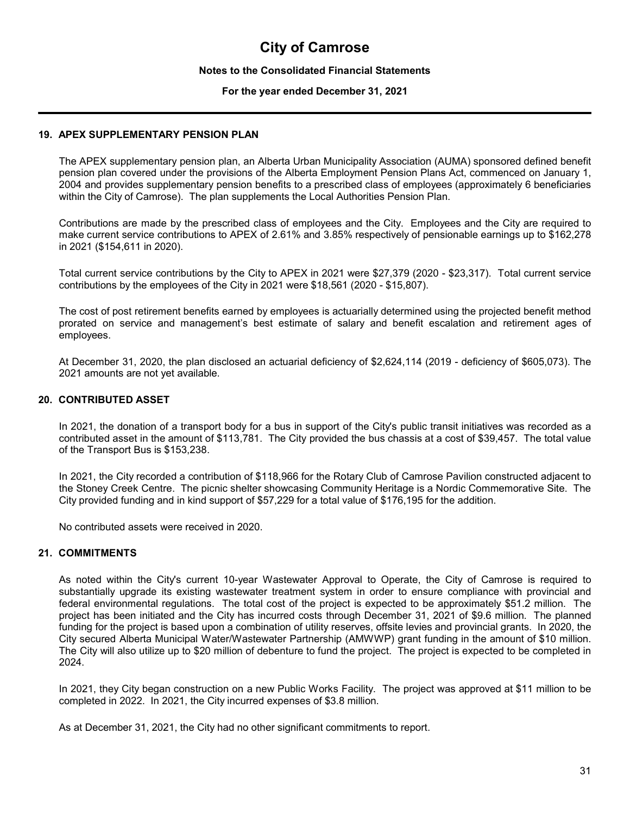#### Notes to the Consolidated Financial Statements

For the year ended December 31, 2021

#### 19. APEX SUPPLEMENTARY PENSION PLAN

The APEX supplementary pension plan, an Alberta Urban Municipality Association (AUMA) sponsored defined benefit pension plan covered under the provisions of the Alberta Employment Pension Plans Act, commenced on January 1, 2004 and provides supplementary pension benefits to a prescribed class of employees (approximately 6 beneficiaries within the City of Camrose). The plan supplements the Local Authorities Pension Plan.

Contributions are made by the prescribed class of employees and the City. Employees and the City are required to make current service contributions to APEX of 2.61% and 3.85% respectively of pensionable earnings up to \$162,278 in 2021 (\$154,611 in 2020).

Total current service contributions by the City to APEX in 2021 were \$27,379 (2020 - \$23,317). Total current service contributions by the employees of the City in 2021 were \$18,561 (2020 - \$15,807).

The cost of post retirement benefits earned by employees is actuarially determined using the projected benefit method prorated on service and management's best estimate of salary and benefit escalation and retirement ages of employees.

At December 31, 2020, the plan disclosed an actuarial deficiency of \$2,624,114 (2019 - deficiency of \$605,073). The 2021 amounts are not yet available.

#### 20. CONTRIBUTED ASSET

In 2021, the donation of a transport body for a bus in support of the City's public transit initiatives was recorded as a contributed asset in the amount of \$113,781. The City provided the bus chassis at a cost of \$39,457. The total value of the Transport Bus is \$153,238.

In 2021, the City recorded a contribution of \$118,966 for the Rotary Club of Camrose Pavilion constructed adjacent to the Stoney Creek Centre. The picnic shelter showcasing Community Heritage is a Nordic Commemorative Site. The City provided funding and in kind support of \$57,229 for a total value of \$176,195 for the addition.

No contributed assets were received in 2020.

#### 21. COMMITMENTS

As noted within the City's current 10-year Wastewater Approval to Operate, the City of Camrose is required to substantially upgrade its existing wastewater treatment system in order to ensure compliance with provincial and federal environmental regulations. The total cost of the project is expected to be approximately \$51.2 million. The project has been initiated and the City has incurred costs through December 31, 2021 of \$9.6 million. The planned funding for the project is based upon a combination of utility reserves, offsite levies and provincial grants. In 2020, the City secured Alberta Municipal Water/Wastewater Partnership (AMWWP) grant funding in the amount of \$10 million. The City will also utilize up to \$20 million of debenture to fund the project. The project is expected to be completed in 2024.

In 2021, they City began construction on a new Public Works Facility. The project was approved at \$11 million to be completed in 2022. In 2021, the City incurred expenses of \$3.8 million.

As at December 31, 2021, the City had no other significant commitments to report.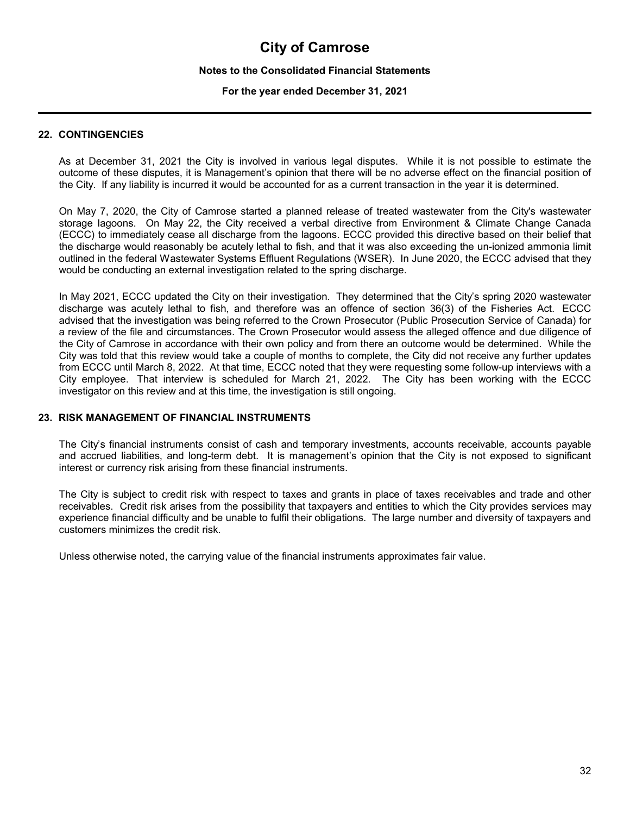#### Notes to the Consolidated Financial Statements

#### For the year ended December 31, 2021

#### 22. CONTINGENCIES

As at December 31, 2021 the City is involved in various legal disputes. While it is not possible to estimate the outcome of these disputes, it is Management's opinion that there will be no adverse effect on the financial position of the City. If any liability is incurred it would be accounted for as a current transaction in the year it is determined.

On May 7, 2020, the City of Camrose started a planned release of treated wastewater from the City's wastewater storage lagoons. On May 22, the City received a verbal directive from Environment & Climate Change Canada (ECCC) to immediately cease all discharge from the lagoons. ECCC provided this directive based on their belief that the discharge would reasonably be acutely lethal to fish, and that it was also exceeding the un-ionized ammonia limit outlined in the federal Wastewater Systems Effluent Regulations (WSER). In June 2020, the ECCC advised that they would be conducting an external investigation related to the spring discharge.

In May 2021, ECCC updated the City on their investigation. They determined that the City's spring 2020 wastewater discharge was acutely lethal to fish, and therefore was an offence of section 36(3) of the Fisheries Act. ECCC advised that the investigation was being referred to the Crown Prosecutor (Public Prosecution Service of Canada) for a review of the file and circumstances. The Crown Prosecutor would assess the alleged offence and due diligence of the City of Camrose in accordance with their own policy and from there an outcome would be determined. While the City was told that this review would take a couple of months to complete, the City did not receive any further updates from ECCC until March 8, 2022. At that time, ECCC noted that they were requesting some follow-up interviews with a City employee. That interview is scheduled for March 21, 2022. The City has been working with the ECCC investigator on this review and at this time, the investigation is still ongoing.

#### 23. RISK MANAGEMENT OF FINANCIAL INSTRUMENTS

The City's financial instruments consist of cash and temporary investments, accounts receivable, accounts payable and accrued liabilities, and long-term debt. It is management's opinion that the City is not exposed to significant interest or currency risk arising from these financial instruments.

The City is subject to credit risk with respect to taxes and grants in place of taxes receivables and trade and other receivables. Credit risk arises from the possibility that taxpayers and entities to which the City provides services may experience financial difficulty and be unable to fulfil their obligations. The large number and diversity of taxpayers and customers minimizes the credit risk.

Unless otherwise noted, the carrying value of the financial instruments approximates fair value.